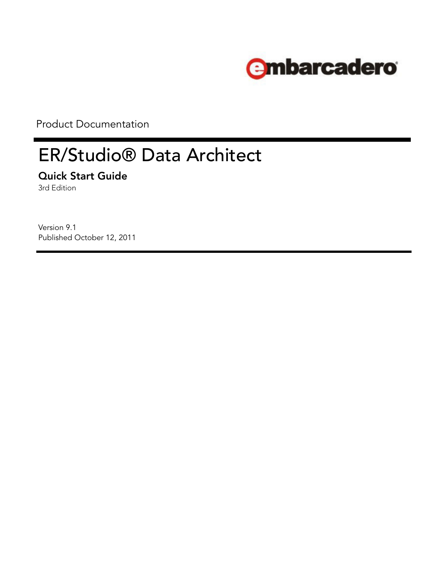

Product Documentation

# ER/Studio® Data Architect

**Quick Start Guide**

3rd Edition

Version 9.1 Published October 12, 2011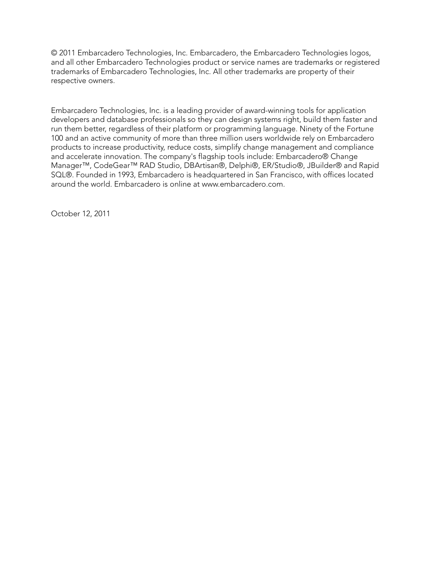© 2011 Embarcadero Technologies, Inc. Embarcadero, the Embarcadero Technologies logos, and all other Embarcadero Technologies product or service names are trademarks or registered trademarks of Embarcadero Technologies, Inc. All other trademarks are property of their respective owners.

Embarcadero Technologies, Inc. is a leading provider of award-winning tools for application developers and database professionals so they can design systems right, build them faster and run them better, regardless of their platform or programming language. Ninety of the Fortune 100 and an active community of more than three million users worldwide rely on Embarcadero products to increase productivity, reduce costs, simplify change management and compliance and accelerate innovation. The company's flagship tools include: Embarcadero® Change Manager™, CodeGear™ RAD Studio, DBArtisan®, Delphi®, ER/Studio®, JBuilder® and Rapid SQL®. Founded in 1993, Embarcadero is headquartered in San Francisco, with offices located around the world. Embarcadero is online at www.embarcadero.com.

October 12, 2011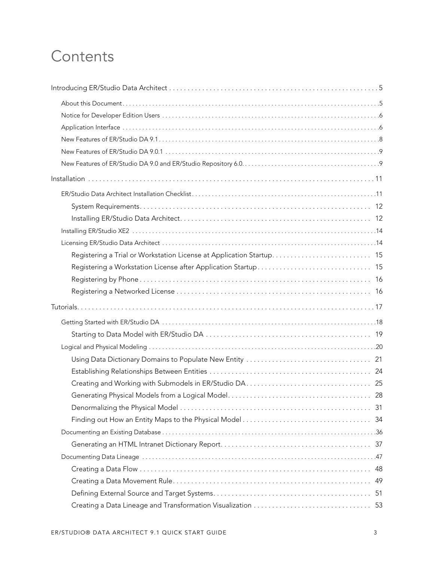# **Contents**

| 49 |
|----|
|    |
|    |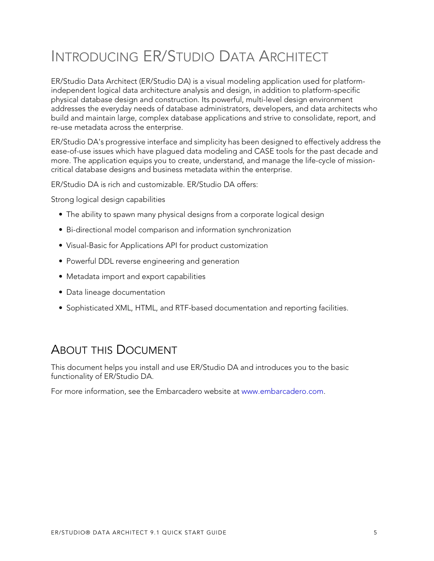# <span id="page-4-0"></span>INTRODUCING ER/STUDIO DATA ARCHITECT

ER/Studio Data Architect (ER/Studio DA) is a visual modeling application used for platformindependent logical data architecture analysis and design, in addition to platform-specific physical database design and construction. Its powerful, multi-level design environment addresses the everyday needs of database administrators, developers, and data architects who build and maintain large, complex database applications and strive to consolidate, report, and re-use metadata across the enterprise.

ER/Studio DA's progressive interface and simplicity has been designed to effectively address the ease-of-use issues which have plagued data modeling and CASE tools for the past decade and more. The application equips you to create, understand, and manage the life-cycle of missioncritical database designs and business metadata within the enterprise.

ER/Studio DA is rich and customizable. ER/Studio DA offers:

Strong logical design capabilities

- The ability to spawn many physical designs from a corporate logical design
- Bi-directional model comparison and information synchronization
- Visual-Basic for Applications API for product customization
- Powerful DDL reverse engineering and generation
- Metadata import and export capabilities
- Data lineage documentation
- Sophisticated XML, HTML, and RTF-based documentation and reporting facilities.

## <span id="page-4-1"></span>ABOUT THIS DOCUMENT

This document helps you install and use ER/Studio DA and introduces you to the basic functionality of ER/Studio DA.

[For more information, see the Embarcadero website at w](www.embarcadero.com)ww.embarcadero.com.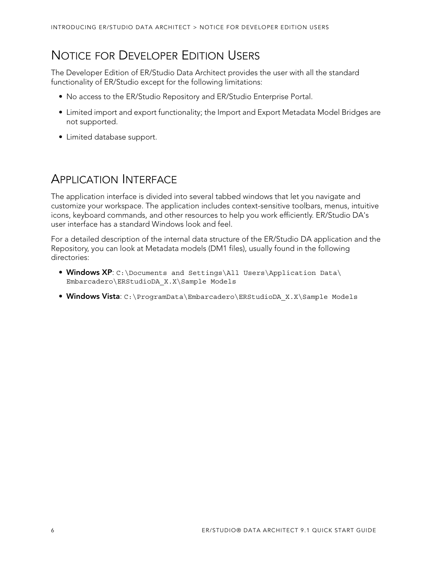# <span id="page-5-0"></span>NOTICE FOR DEVELOPER EDITION USERS

The Developer Edition of ER/Studio Data Architect provides the user with all the standard functionality of ER/Studio except for the following limitations:

- No access to the ER/Studio Repository and ER/Studio Enterprise Portal.
- Limited import and export functionality; the Import and Export Metadata Model Bridges are not supported.
- Limited database support.

# <span id="page-5-1"></span>APPLICATION INTERFACE

The application interface is divided into several tabbed windows that let you navigate and customize your workspace. The application includes context-sensitive toolbars, menus, intuitive icons, keyboard commands, and other resources to help you work efficiently. ER/Studio DA's user interface has a standard Windows look and feel.

For a detailed description of the internal data structure of the ER/Studio DA application and the Repository, you can look at Metadata models (DM1 files), usually found in the following directories:

- **Windows XP**: C:\Documents and Settings\All Users\Application Data\ Embarcadero\ERStudioDA\_X.X\Sample Models
- **Windows Vista**: C:\ProgramData\Embarcadero\ERStudioDA\_X.X\Sample Models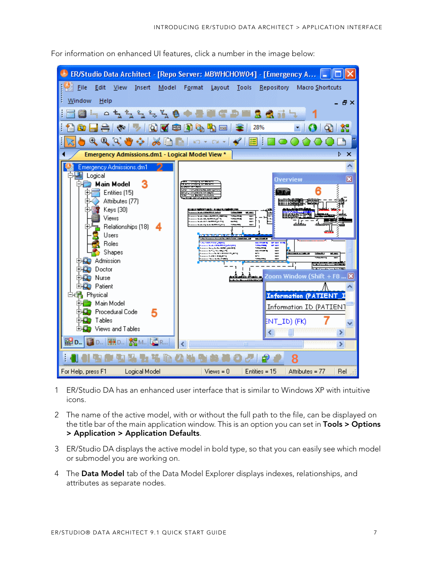

For information on enhanced UI features, click a number in the image below:

- 1 ER/Studio DA has an enhanced user interface that is similar to Windows XP with intuitive icons.
- 2 The name of the active model, with or without the full path to the file, can be displayed on the title bar of the main application window. This is an option you can set in **Tools > Options > Application > Application Defaults**.
- 3 ER/Studio DA displays the active model in bold type, so that you can easily see which model or submodel you are working on.
- 4 The **Data Model** tab of the Data Model Explorer displays indexes, relationships, and attributes as separate nodes.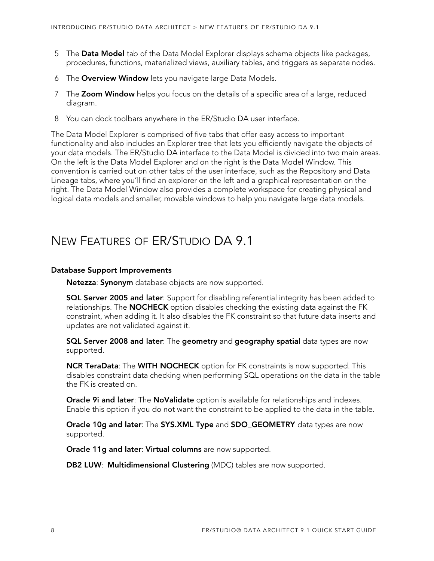- 5 The **Data Model** tab of the Data Model Explorer displays schema objects like packages, procedures, functions, materialized views, auxiliary tables, and triggers as separate nodes.
- 6 The **Overview Window** lets you navigate large Data Models.
- 7 The **Zoom Window** helps you focus on the details of a specific area of a large, reduced diagram.
- <span id="page-7-1"></span>8 You can dock toolbars anywhere in the ER/Studio DA user interface.

The Data Model Explorer is comprised of five tabs that offer easy access to important functionality and also includes an Explorer tree that lets you efficiently navigate the objects of your data models. The ER/Studio DA interface to the Data Model is divided into two main areas. On the left is the Data Model Explorer and on the right is the Data Model Window. This convention is carried out on other tabs of the user interface, such as the Repository and Data Lineage tabs, where you'll find an explorer on the left and a graphical representation on the right. The Data Model Window also provides a complete workspace for creating physical and logical data models and smaller, movable windows to help you navigate large data models.

# <span id="page-7-0"></span>NEW FEATURES OF ER/STUDIO DA 9.1

#### **Database Support Improvements**

**Netezza**: **Synonym** database objects are now supported.

**SQL Server 2005 and later**: Support for disabling referential integrity has been added to relationships. The **NOCHECK** option disables checking the existing data against the FK constraint, when adding it. It also disables the FK constraint so that future data inserts and updates are not validated against it.

**SQL Server 2008 and later**: The **geometry** and **geography spatial** data types are now supported.

**NCR TeraData**: The **WITH NOCHECK** option for FK constraints is now supported. This disables constraint data checking when performing SQL operations on the data in the table the FK is created on.

**Oracle 9i and later**: The **NoValidate** option is available for relationships and indexes. Enable this option if you do not want the constraint to be applied to the data in the table.

**Oracle 10g and later**: The **SYS.XML Type** and **SDO\_GEOMETRY** data types are now supported.

**Oracle 11g and later**: **Virtual columns** are now supported.

**DB2 LUW**: **Multidimensional Clustering** (MDC) tables are now supported.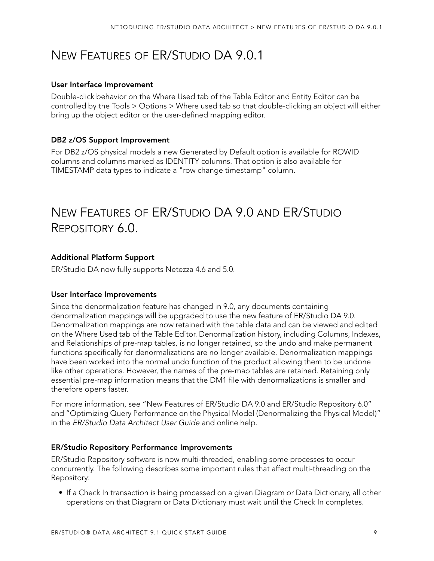# <span id="page-8-0"></span>NEW FEATURES OF ER/STUDIO DA 9.0.1

#### **User Interface Improvement**

Double-click behavior on the Where Used tab of the Table Editor and Entity Editor can be controlled by the Tools > Options > Where used tab so that double-clicking an object will either bring up the object editor or the user-defined mapping editor.

#### **DB2 z/OS Support Improvement**

For DB2 z/OS physical models a new Generated by Default option is available for ROWID columns and columns marked as IDENTITY columns. That option is also available for TIMESTAMP data types to indicate a "row change timestamp" column.

# <span id="page-8-1"></span>NEW FEATURES OF ER/STUDIO DA 9.0 AND ER/STUDIO REPOSITORY 6.0.

#### **Additional Platform Support**

ER/Studio DA now fully supports Netezza 4.6 and 5.0.

#### **User Interface Improvements**

Since the denormalization feature has changed in 9.0, any documents containing denormalization mappings will be upgraded to use the new feature of ER/Studio DA 9.0. Denormalization mappings are now retained with the table data and can be viewed and edited on the Where Used tab of the Table Editor. Denormalization history, including Columns, Indexes, and Relationships of pre-map tables, is no longer retained, so the undo and make permanent functions specifically for denormalizations are no longer available. Denormalization mappings have been worked into the normal undo function of the product allowing them to be undone like other operations. However, the names of the pre-map tables are retained. Retaining only essential pre-map information means that the DM1 file with denormalizations is smaller and therefore opens faster.

For more information, see "New Features of ER/Studio DA 9.0 and ER/Studio Repository 6.0" and "Optimizing Query Performance on the Physical Model (Denormalizing the Physical Model)" in the ER/Studio Data Architect User Guide and online help.

#### **ER/Studio Repository Performance Improvements**

ER/Studio Repository software is now multi-threaded, enabling some processes to occur concurrently. The following describes some important rules that affect multi-threading on the Repository:

• If a Check In transaction is being processed on a given Diagram or Data Dictionary, all other operations on that Diagram or Data Dictionary must wait until the Check In completes.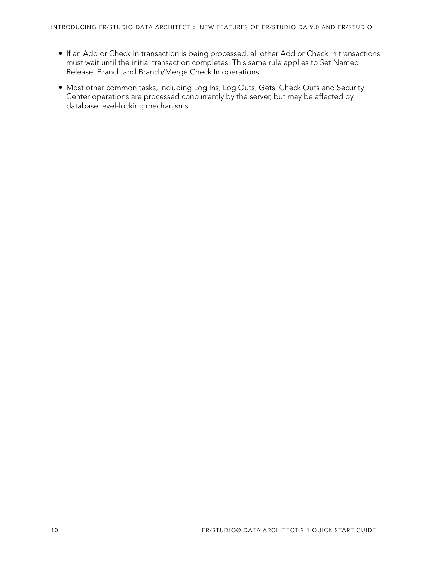- If an Add or Check In transaction is being processed, all other Add or Check In transactions must wait until the initial transaction completes. This same rule applies to Set Named Release, Branch and Branch/Merge Check In operations.
- Most other common tasks, including Log Ins, Log Outs, Gets, Check Outs and Security Center operations are processed concurrently by the server, but may be affected by database level-locking mechanisms.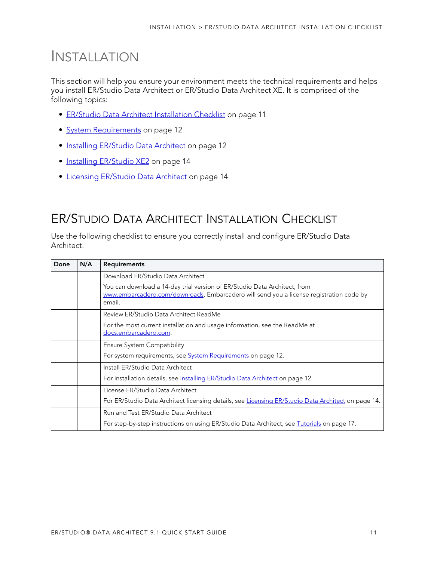# <span id="page-10-0"></span>INSTALLATION

This section will help you ensure your environment meets the technical requirements and helps you install ER/Studio Data Architect or ER/Studio Data Architect XE. It is comprised of the following topics:

- [ER/Studio Data Architect Installation Checklist on page 11](#page-10-1)
- [System Requirements on page 12](#page-11-0)
- [Installing ER/Studio Data Architect on page 12](#page-11-1)
- [Installing ER/Studio XE2 on page 14](#page-13-0)
- [Licensing ER/Studio Data Architect on page 14](#page-13-1)

# <span id="page-10-1"></span>ER/STUDIO DATA ARCHITECT INSTALLATION CHECKLIST

Use the following checklist to ensure you correctly install and configure ER/Studio Data Architect.

| Done | N/A | <b>Requirements</b>                                                                                                                                                            |
|------|-----|--------------------------------------------------------------------------------------------------------------------------------------------------------------------------------|
|      |     | Download ER/Studio Data Architect                                                                                                                                              |
|      |     | You can download a 14-day trial version of ER/Studio Data Architect, from<br>www.embarcadero.com/downloads. Embarcadero will send you a license registration code by<br>email. |
|      |     | Review ER/Studio Data Architect ReadMe                                                                                                                                         |
|      |     | For the most current installation and usage information, see the ReadMe at<br>docs.embarcadero.com.                                                                            |
|      |     | <b>Ensure System Compatibility</b>                                                                                                                                             |
|      |     | For system requirements, see <b>System Requirements</b> on page 12.                                                                                                            |
|      |     | Install ER/Studio Data Architect                                                                                                                                               |
|      |     | For installation details, see Installing ER/Studio Data Architect on page 12.                                                                                                  |
|      |     | License ER/Studio Data Architect                                                                                                                                               |
|      |     | For ER/Studio Data Architect licensing details, see Licensing ER/Studio Data Architect on page 14.                                                                             |
|      |     | Run and Test ER/Studio Data Architect                                                                                                                                          |
|      |     | For step-by-step instructions on using ER/Studio Data Architect, see Tutorials on page 17.                                                                                     |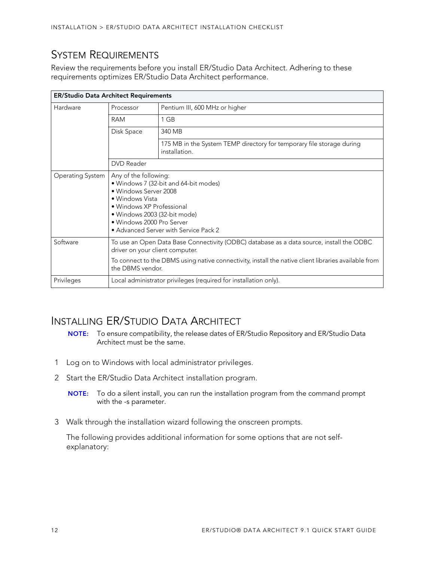# <span id="page-11-0"></span>SYSTEM REQUIREMENTS

Review the requirements before you install ER/Studio Data Architect. Adhering to these requirements optimizes ER/Studio Data Architect performance.

| <b>ER/Studio Data Architect Requirements</b> |                                                                                                                                                                                                                                                         |                                                                                        |  |  |
|----------------------------------------------|---------------------------------------------------------------------------------------------------------------------------------------------------------------------------------------------------------------------------------------------------------|----------------------------------------------------------------------------------------|--|--|
| Hardware                                     | Processor                                                                                                                                                                                                                                               | Pentium III, 600 MHz or higher                                                         |  |  |
|                                              | <b>RAM</b>                                                                                                                                                                                                                                              | 1 GB                                                                                   |  |  |
|                                              | Disk Space                                                                                                                                                                                                                                              | 340 MB                                                                                 |  |  |
|                                              |                                                                                                                                                                                                                                                         | 175 MB in the System TEMP directory for temporary file storage during<br>installation. |  |  |
|                                              | <b>DVD</b> Reader                                                                                                                                                                                                                                       |                                                                                        |  |  |
| Operating System                             | Any of the following:<br>· Windows 7 (32-bit and 64-bit modes)<br>• Windows Server 2008<br>• Windows Vista<br>• Windows XP Professional<br>• Windows 2003 (32-bit mode)<br>• Windows 2000 Pro Server<br>• Advanced Server with Service Pack 2           |                                                                                        |  |  |
| Software                                     | To use an Open Data Base Connectivity (ODBC) database as a data source, install the ODBC<br>driver on your client computer.<br>To connect to the DBMS using native connectivity, install the native client libraries available from<br>the DBMS vendor. |                                                                                        |  |  |
| Privileges                                   | Local administrator privileges (required for installation only).                                                                                                                                                                                        |                                                                                        |  |  |

# <span id="page-11-1"></span>INSTALLING ER/STUDIO DATA ARCHITECT

- **NOTE:** To ensure compatibility, the release dates of ER/Studio Repository and ER/Studio Data Architect must be the same.
- 1 Log on to Windows with local administrator privileges.
- 2 Start the ER/Studio Data Architect installation program.
	- **NOTE:** To do a silent install, you can run the installation program from the command prompt with the -s parameter.
- 3 Walk through the installation wizard following the onscreen prompts.

The following provides additional information for some options that are not selfexplanatory: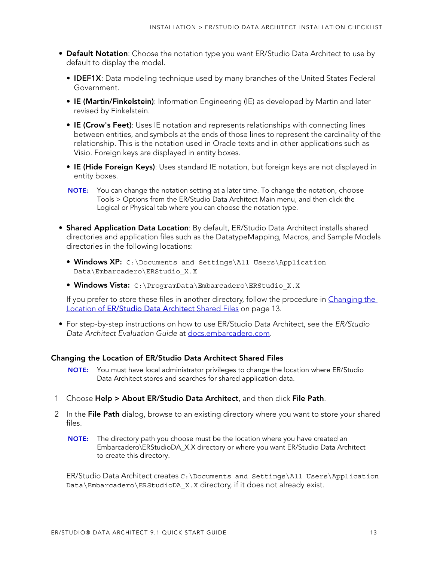- **Default Notation**: Choose the notation type you want ER/Studio Data Architect to use by default to display the model.
	- **IDEF1X**: Data modeling technique used by many branches of the United States Federal Government.
	- **IE (Martin/Finkelstein)**: Information Engineering (IE) as developed by Martin and later revised by Finkelstein.
	- **IE (Crow's Feet)**: Uses IE notation and represents relationships with connecting lines between entities, and symbols at the ends of those lines to represent the cardinality of the relationship. This is the notation used in Oracle texts and in other applications such as Visio. Foreign keys are displayed in entity boxes.
	- **IE (Hide Foreign Keys)**: Uses standard IE notation, but foreign keys are not displayed in entity boxes.
	- **NOTE:** You can change the notation setting at a later time. To change the notation, choose Tools > Options from the ER/Studio Data Architect Main menu, and then click the Logical or Physical tab where you can choose the notation type.
- **Shared Application Data Location**: By default, ER/Studio Data Architect installs shared directories and application files such as the DatatypeMapping, Macros, and Sample Models directories in the following locations:
	- **Windows XP:** C:\Documents and Settings\All Users\Application Data\Embarcadero\ERStudio\_X.X
	- **Windows Vista:** C:\ProgramData\Embarcadero\ERStudio\_X.X

If you prefer to store these files in another directory, follow the procedure in Changing the Location of ER/Studio Data Architect Shared Files on page 13.

• For step-by-step instructions on how to use ER/Studio Data Architect, see the ER/Studio Data Architect Evaluation Guide at [docs.embarcadero.com.](http://docs.embarcadero.com/products/er_studio/)

#### **Changing the Location of ER/Studio Data Architect Shared Files**

- **NOTE:** You must have local administrator privileges to change the location where ER/Studio Data Architect stores and searches for shared application data.
- 1 Choose **Help > About ER/Studio Data Architect**, and then click **File Path**.
- 2 In the **File Path** dialog, browse to an existing directory where you want to store your shared files.
	- **NOTE:** The directory path you choose must be the location where you have created an Embarcadero\ERStudioDA\_X.X directory or where you want ER/Studio Data Architect to create this directory.

ER/Studio Data Architect creates C:\Documents and Settings\All Users\Application Data\Embarcadero\ERStudioDA X.X directory, if it does not already exist.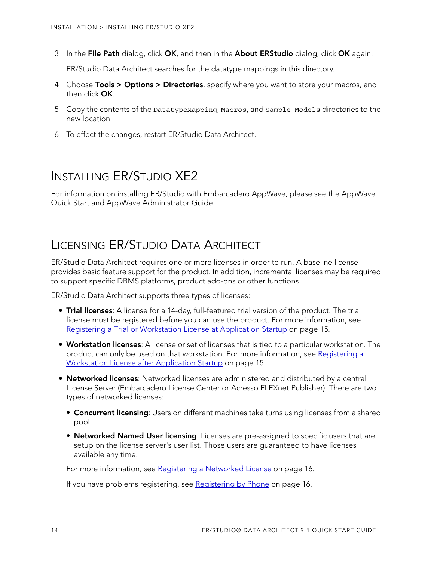3 In the **File Path** dialog, click **OK**, and then in the **About ERStudio** dialog, click **OK** again.

ER/Studio Data Architect searches for the datatype mappings in this directory.

- 4 Choose **Tools > Options > Directories**, specify where you want to store your macros, and then click **OK**.
- 5 Copy the contents of the DatatypeMapping, Macros, and Sample Models directories to the new location.
- 6 To effect the changes, restart ER/Studio Data Architect.

# <span id="page-13-0"></span>INSTALLING ER/STUDIO XE2

For information on installing ER/Studio with Embarcadero AppWave, please see the AppWave Quick Start and AppWave Administrator Guide.

# <span id="page-13-1"></span>LICENSING ER/STUDIO DATA ARCHITECT

ER/Studio Data Architect requires one or more licenses in order to run. A baseline license provides basic feature support for the product. In addition, incremental licenses may be required to support specific DBMS platforms, product add-ons or other functions.

ER/Studio Data Architect supports three types of licenses:

- **Trial licenses**: A license for a 14-day, full-featured trial version of the product. The trial license must be registered before you can use the product. For more information, see [Registering a Trial or Workstation License at Application Startup on page 15.](#page-14-0)
- **Workstation licenses**: A license or set of licenses that is tied to a particular workstation. The product can only be used on that workstation. For more information, see Registering a [Workstation License after Application Startup on page 15](#page-14-1).
- **Networked licenses**: Networked licenses are administered and distributed by a central License Server (Embarcadero License Center or Acresso FLEXnet Publisher). There are two types of networked licenses:
	- **Concurrent licensing**: Users on different machines take turns using licenses from a shared pool.
	- **Networked Named User licensing**: Licenses are pre-assigned to specific users that are setup on the license server's user list. Those users are guaranteed to have licenses available any time.

For more information, see [Registering a Networked License on page 16](#page-15-1).

If you have problems registering, see [Registering by Phone on page 16.](#page-15-0)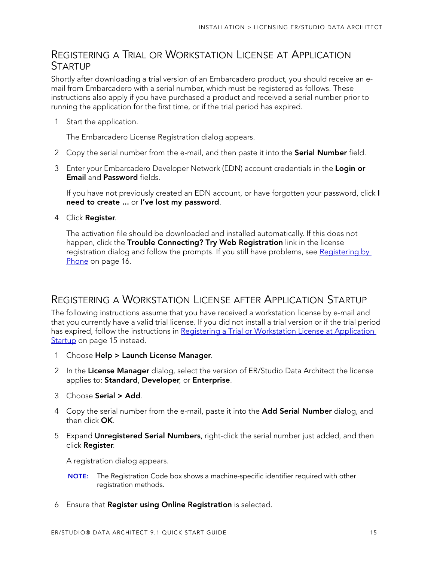### <span id="page-14-0"></span>REGISTERING A TRIAL OR WORKSTATION LICENSE AT APPLICATION **STARTUP**

Shortly after downloading a trial version of an Embarcadero product, you should receive an email from Embarcadero with a serial number, which must be registered as follows. These instructions also apply if you have purchased a product and received a serial number prior to running the application for the first time, or if the trial period has expired.

1 Start the application.

The Embarcadero License Registration dialog appears.

- 2 Copy the serial number from the e-mail, and then paste it into the **Serial Number** field.
- 3 Enter your Embarcadero Developer Network (EDN) account credentials in the **Login or Email** and **Password** fields.

If you have not previously created an EDN account, or have forgotten your password, click **I need to create ...** or **I've lost my password**.

4 Click **Register**.

The activation file should be downloaded and installed automatically. If this does not happen, click the **Trouble Connecting? Try Web Registration** link in the license registration dialog and follow the prompts. If you still have problems, see [Registering by](#page-15-0)  [Phone on page 16.](#page-15-0)

### <span id="page-14-1"></span>REGISTERING A WORKSTATION LICENSE AFTER APPLICATION STARTUP

The following instructions assume that you have received a workstation license by e-mail and that you currently have a valid trial license. If you did not install a trial version or if the trial period has expired, follow the instructions in Registering a Trial or Workstation License at Application [Startup on page 15](#page-14-0) instead.

- 1 Choose **Help > Launch License Manager**.
- 2 In the **License Manager** dialog, select the version of ER/Studio Data Architect the license applies to: **Standard**, **Developer**, or **Enterprise**.
- 3 Choose **Serial > Add**.
- 4 Copy the serial number from the e-mail, paste it into the **Add Serial Number** dialog, and then click **OK**.
- 5 Expand **Unregistered Serial Numbers**, right-click the serial number just added, and then click **Register**.

A registration dialog appears.

- **NOTE:** The Registration Code box shows a machine-specific identifier required with other registration methods.
- 6 Ensure that **Register using Online Registration** is selected.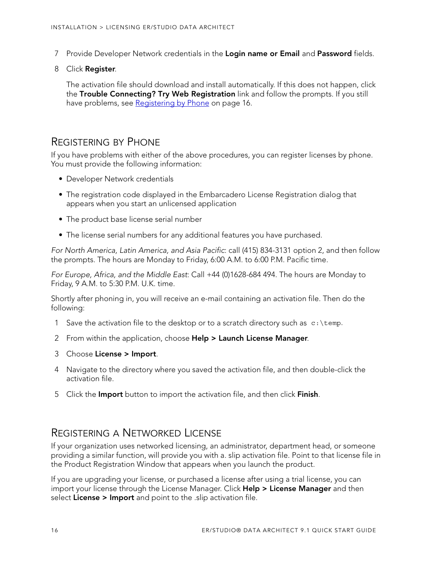- 7 Provide Developer Network credentials in the **Login name or Email** and **Password** fields.
- 8 Click **Register**.

The activation file should download and install automatically. If this does not happen, click the **Trouble Connecting? Try Web Registration** link and follow the prompts. If you still have problems, see [Registering by Phone on page 16](#page-15-0).

#### <span id="page-15-0"></span>REGISTERING BY PHONE

If you have problems with either of the above procedures, you can register licenses by phone. You must provide the following information:

- Developer Network credentials
- The registration code displayed in the Embarcadero License Registration dialog that appears when you start an unlicensed application
- The product base license serial number
- The license serial numbers for any additional features you have purchased.

For North America, Latin America, and Asia Pacific: call (415) 834-3131 option 2, and then follow the prompts. The hours are Monday to Friday, 6:00 A.M. to 6:00 P.M. Pacific time.

For Europe, Africa, and the Middle East: Call +44 (0)1628-684 494. The hours are Monday to Friday, 9 A.M. to 5:30 P.M. U.K. time.

Shortly after phoning in, you will receive an e-mail containing an activation file. Then do the following:

- 1 Save the activation file to the desktop or to a scratch directory such as  $c:\temp$ .
- 2 From within the application, choose **Help > Launch License Manager**.
- 3 Choose **License > Import**.
- 4 Navigate to the directory where you saved the activation file, and then double-click the activation file.
- 5 Click the **Import** button to import the activation file, and then click **Finish**.

### <span id="page-15-1"></span>REGISTERING A NETWORKED LICENSE

If your organization uses networked licensing, an administrator, department head, or someone providing a similar function, will provide you with a. slip activation file. Point to that license file in the Product Registration Window that appears when you launch the product.

If you are upgrading your license, or purchased a license after using a trial license, you can import your license through the License Manager. Click **Help > License Manager** and then select **License > Import** and point to the .slip activation file.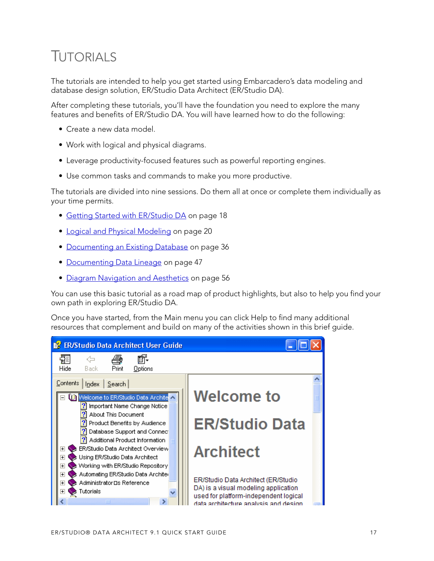# <span id="page-16-1"></span><span id="page-16-0"></span>TUTORIALS

The tutorials are intended to help you get started using Embarcadero's data modeling and database design solution, ER/Studio Data Architect (ER/Studio DA).

After completing these tutorials, you'll have the foundation you need to explore the many features and benefits of ER/Studio DA. You will have learned how to do the following:

- Create a new data model.
- Work with logical and physical diagrams.
- Leverage productivity-focused features such as powerful reporting engines.
- Use common tasks and commands to make you more productive.

The tutorials are divided into nine sessions. Do them all at once or complete them individually as your time permits.

- [Getting Started with ER/Studio DA on page 18](#page-17-0)
- [Logical and Physical Modeling on page 20](#page-19-0)
- [Documenting an Existing Database on page 36](#page-35-0)
- [Documenting Data Lineage on page 47](#page-46-0)
- [Diagram Navigation and Aesthetics on page 56](#page-55-0)

You can use this basic tutorial as a road map of product highlights, but also to help you find your own path in exploring ER/Studio DA.

Once you have started, from the Main menu you can click Help to find many additional resources that complement and build on many of the activities shown in this brief guide.

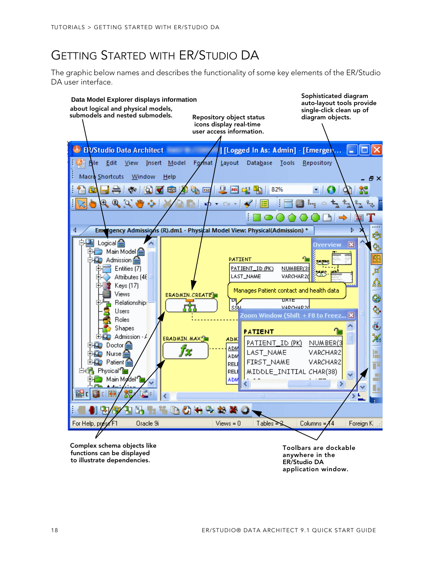# <span id="page-17-0"></span>GETTING STARTED WITH ER/STUDIO DA

The graphic below names and describes the functionality of some key elements of the ER/Studio DA user interface.



**application window.**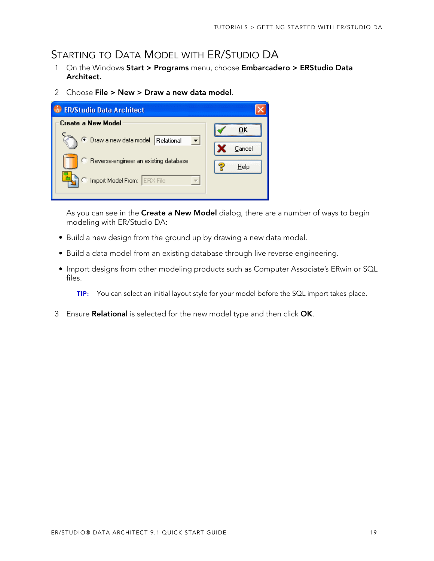# <span id="page-18-0"></span>STARTING TO DATA MODEL WITH ER/STUDIO DA

- 1 On the Windows **Start > Programs** menu, choose **Embarcadero > ERStudio Data Architect.**
- 2 Choose **File > New > Draw a new data model**.

| <b>ER/Studio Data Architect</b>            |        |
|--------------------------------------------|--------|
| Create a New Model                         | пĸ     |
| <b>Draw a new data model</b><br>Relational | Cancel |
| C Reverse-engineer an existing database    | Help   |
| Import Model From: ERX File                |        |

As you can see in the **Create a New Model** dialog, there are a number of ways to begin modeling with ER/Studio DA:

- Build a new design from the ground up by drawing a new data model.
- Build a data model from an existing database through live reverse engineering.
- Import designs from other modeling products such as Computer Associate's ERwin or SQL files.
	- **TIP:** You can select an initial layout style for your model before the SQL import takes place.
- 3 Ensure **Relational** is selected for the new model type and then click **OK**.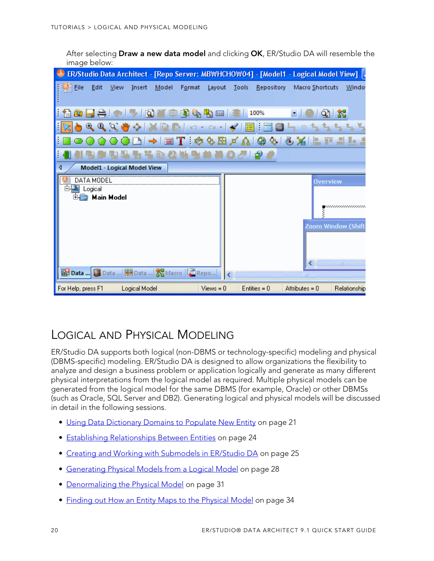After selecting **Draw a new data model** and clicking **OK**, ER/Studio DA will resemble the image below:

|                                                   | . [ ER/Studio Data Architect - [Repo Server: MBWHCHOW04] - [Model1 - Logical Model View] |
|---------------------------------------------------|------------------------------------------------------------------------------------------|
| Eile<br>Format<br>Edit<br>View<br>Insert<br>Model | Repository Macro Shortcuts<br>Layout<br>Tools<br>Window                                  |
|                                                   | GB.<br>100%<br>XSD                                                                       |
| $Q$ $Q$ $M$<br>$^{\circ}$                         | $\blacktriangleleft$<br>這<br>$\log$ $\Omega$                                             |
| 豐                                                 | $ \mathcal{A}\otimes\mathbb{B} $ and $ \mathcal{A}\otimes\mathbb{B} $ and                |
|                                                   | 印                                                                                        |
| Model1 - Logical Model View                       |                                                                                          |
| DATA MODEL                                        | <b>Overview</b>                                                                          |
| Logical<br><b>Main Model</b>                      | ,,,,,,,,,,,,,,,,,<br>Zoom Window (Shift                                                  |
| 图 Data  Data    HB Data    KB Macro   C Repo      | <b>HII</b>                                                                               |
| For Help, press F1<br>Logical Model               | $Views = 0$<br>$Entiles = 0$<br>Attributes = $0$<br>Relationship                         |

# <span id="page-19-0"></span>LOGICAL AND PHYSICAL MODELING

ER/Studio DA supports both logical (non-DBMS or technology-specific) modeling and physical (DBMS-specific) modeling. ER/Studio DA is designed to allow organizations the flexibility to analyze and design a business problem or application logically and generate as many different physical interpretations from the logical model as required. Multiple physical models can be generated from the logical model for the same DBMS (for example, Oracle) or other DBMSs (such as Oracle, SQL Server and DB2). Generating logical and physical models will be discussed in detail in the following sessions.

- [Using Data Dictionary Domains to Populate New Entity on page 21](#page-20-0)
- [Establishing Relationships Between Entities on page 24](#page-23-0)
- [Creating and Working with Submodels in ER/Studio DA on page 25](#page-24-0)
- [Generating Physical Models from a Logical Model on page 28](#page-27-0)
- [Denormalizing the Physical Model on page 31](#page-30-0)
- [Finding out How an Entity Maps to the Physical Model on page 34](#page-33-0)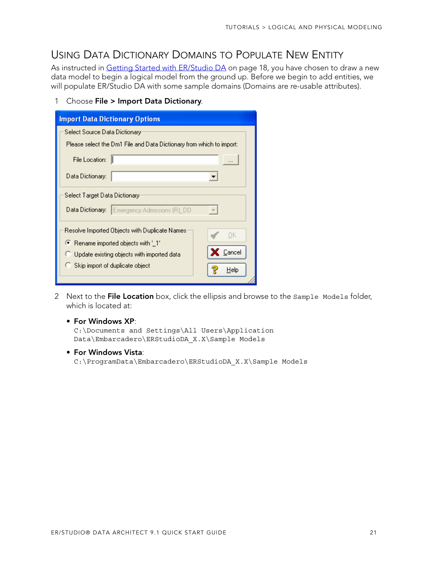### <span id="page-20-0"></span>USING DATA DICTIONARY DOMAINS TO POPULATE NEW ENTITY

As instructed in [Getting Started with ER/Studio DA on page 18](#page-17-0), you have chosen to draw a new data model to begin a logical model from the ground up. Before we begin to add entities, we will populate ER/Studio DA with some sample domains (Domains are re-usable attributes).

1 Choose **File > Import Data Dictionary**.

| <b>Import Data Dictionary Options</b>                                |
|----------------------------------------------------------------------|
| Select Source Data Dictionary                                        |
| Please select the Dm1 File and Data Dictionary from which to import: |
| File Location:                                                       |
| Data Dictionary:                                                     |
| Select Target Data Dictionary                                        |
| Emergency Admissions (R)_DD<br>Data Dictionary:                      |
| Resolve Imported Objects with Duplicate Names<br>OΚ                  |
| ● Rename imported objects with '_1'                                  |
| Cancel<br>Update existing objects with imported data                 |
| Skip import of duplicate object<br>Help                              |

2 Next to the **File Location** box, click the ellipsis and browse to the Sample Models folder, which is located at:

#### • **For Windows XP**:

C:\Documents and Settings\All Users\Application Data\Embarcadero\ERStudioDA\_X.X\Sample Models

• **For Windows Vista**:

C:\ProgramData\Embarcadero\ERStudioDA\_X.X\Sample Models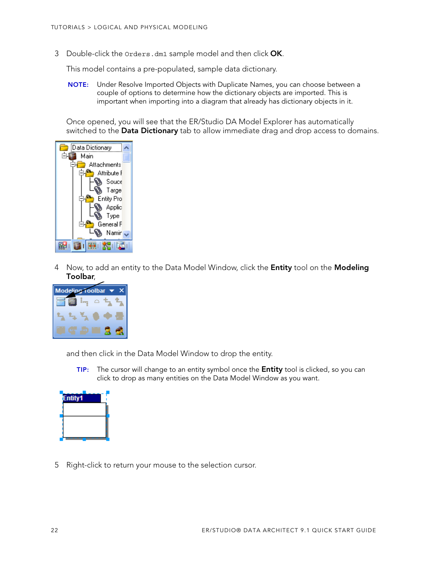3 Double-click the Orders.dm1 sample model and then click **OK**.

This model contains a pre-populated, sample data dictionary.

**NOTE:** Under Resolve Imported Objects with Duplicate Names, you can choose between a couple of options to determine how the dictionary objects are imported. This is important when importing into a diagram that already has dictionary objects in it.

Once opened, you will see that the ER/Studio DA Model Explorer has automatically switched to the **Data Dictionary** tab to allow immediate drag and drop access to domains.



4 Now, to add an entity to the Data Model Window, click the **Entity** tool on the **Modeling Toolbar**,



and then click in the Data Model Window to drop the entity.

**TIP:** The cursor will change to an entity symbol once the **Entity** tool is clicked, so you can click to drop as many entities on the Data Model Window as you want.



5 Right-click to return your mouse to the selection cursor.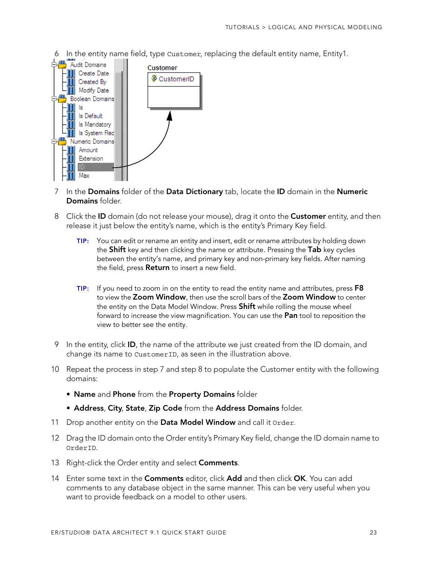6 In the entity name field, type Customer, replacing the default entity name, Entity1.



- 7 In the **Domains** folder of the **Data Dictionary** tab, locate the **ID** domain in the **Numeric Domains** folder.
- 8 Click the **ID** domain (do not release your mouse), drag it onto the **Customer** entity, and then release it just below the entity's name, which is the entity's Primary Key field.
	- **TIP:** You can edit or rename an entity and insert, edit or rename attributes by holding down the **Shift** key and then clicking the name or attribute. Pressing the **Tab** key cycles between the entity's name, and primary key and non-primary key fields. After naming the field, press **Return** to insert a new field.
	- **TIP:** If you need to zoom in on the entity to read the entity name and attributes, press **F8** to view the **Zoom Window**, then use the scroll bars of the **Zoom Window** to center the entity on the Data Model Window. Press **Shift** while rolling the mouse wheel forward to increase the view magnification. You can use the **Pan** tool to reposition the view to better see the entity.
- 9 In the entity, click **ID**, the name of the attribute we just created from the ID domain, and change its name to CustomerID, as seen in the illustration above.
- 10 Repeat the process in step 7 and step 8 to populate the Customer entity with the following domains:
	- **Name** and **Phone** from the **Property Domains** folder
	- **Address**, **City**, **State**, **Zip Code** from the **Address Domains** folder.
- 11 Drop another entity on the **Data Model Window** and call it Order.
- 12 Drag the ID domain onto the Order entity's Primary Key field, change the ID domain name to OrderID.
- 13 Right-click the Order entity and select **Comments**.
- 14 Enter some text in the **Comments** editor, click **Add** and then click **OK**. You can add comments to any database object in the same manner. This can be very useful when you want to provide feedback on a model to other users.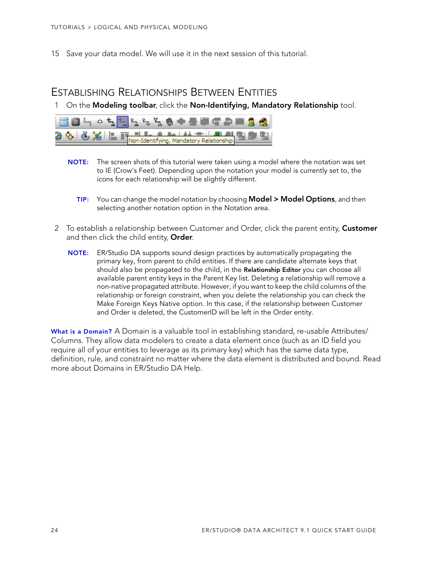15 Save your data model. We will use it in the next session of this tutorial.

### <span id="page-23-0"></span>ESTABLISHING RELATIONSHIPS BETWEEN ENTITIES

1 On the **Modeling toolbar**, click the **Non-Identifying, Mandatory Relationship** tool.



- **NOTE:** The screen shots of this tutorial were taken using a model where the notation was set to IE (Crow's Feet). Depending upon the notation your model is currently set to, the icons for each relationship will be slightly different.
	- **TIP:** You can change the model notation by choosing **Model > Model Options**, and then selecting another notation option in the Notation area.
- 2 To establish a relationship between Customer and Order, click the parent entity, **Customer** and then click the child entity, **Order**.
	- **NOTE:** ER/Studio DA supports sound design practices by automatically propagating the primary key, from parent to child entities. If there are candidate alternate keys that should also be propagated to the child, in the **Relationship Editor** you can choose all available parent entity keys in the Parent Key list. Deleting a relationship will remove a non-native propagated attribute. However, if you want to keep the child columns of the relationship or foreign constraint, when you delete the relationship you can check the Make Foreign Keys Native option. In this case, if the relationship between Customer and Order is deleted, the CustomerID will be left in the Order entity.

**What is a Domain?** A Domain is a valuable tool in establishing standard, re-usable Attributes/ Columns. They allow data modelers to create a data element once (such as an ID field you require all of your entities to leverage as its primary key) which has the same data type, definition, rule, and constraint no matter where the data element is distributed and bound. Read more about Domains in ER/Studio DA Help.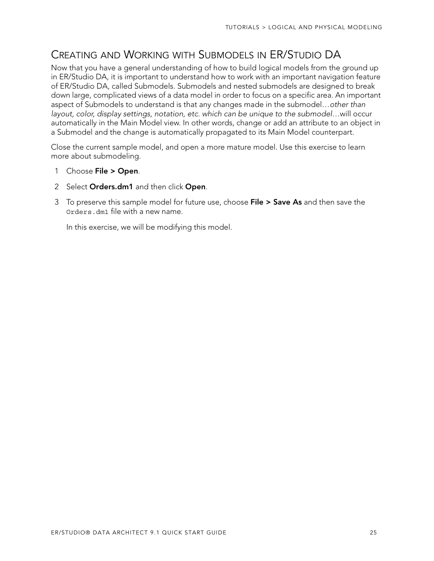# <span id="page-24-0"></span>CREATING AND WORKING WITH SUBMODELS IN ER/STUDIO DA

Now that you have a general understanding of how to build logical models from the ground up in ER/Studio DA, it is important to understand how to work with an important navigation feature of ER/Studio DA, called Submodels. Submodels and nested submodels are designed to break down large, complicated views of a data model in order to focus on a specific area. An important aspect of Submodels to understand is that any changes made in the submodel…other than layout, color, display settings, notation, etc. which can be unique to the submodel…will occur automatically in the Main Model view. In other words, change or add an attribute to an object in a Submodel and the change is automatically propagated to its Main Model counterpart.

Close the current sample model, and open a more mature model. Use this exercise to learn more about submodeling.

- 1 Choose **File > Open**.
- 2 Select **Orders.dm1** and then click **Open**.
- 3 To preserve this sample model for future use, choose **File > Save As** and then save the Orders.dm1 file with a new name.

In this exercise, we will be modifying this model.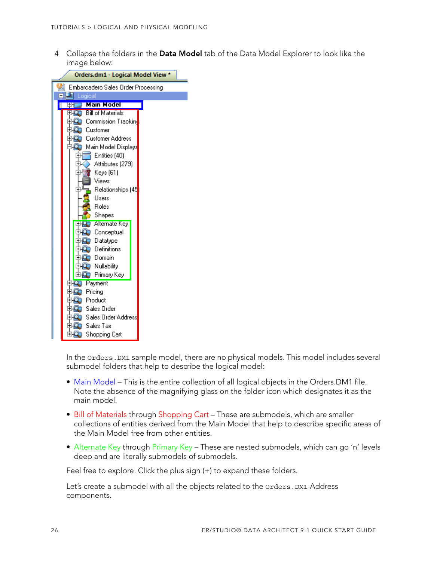4 Collapse the folders in the **Data Model** tab of the Data Model Explorer to look like the image below:



In the Orders.DM1 sample model, there are no physical models. This model includes several submodel folders that help to describe the logical model:

- Main Model This is the entire collection of all logical objects in the Orders. DM1 file. Note the absence of the magnifying glass on the folder icon which designates it as the main model.
- Bill of Materials through Shopping Cart These are submodels, which are smaller collections of entities derived from the Main Model that help to describe specific areas of the Main Model free from other entities.
- Alternate Key through Primary Key These are nested submodels, which can go 'n' levels deep and are literally submodels of submodels.

Feel free to explore. Click the plus sign (+) to expand these folders.

Let's create a submodel with all the objects related to the Orders. DM1 Address components.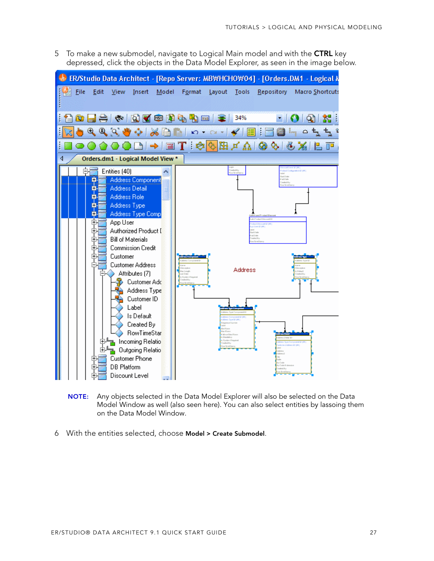5 To make a new submodel, navigate to Logical Main model and with the **CTRL** key depressed, click the objects in the Data Model Explorer, as seen in the image below.



- **NOTE:** Any objects selected in the Data Model Explorer will also be selected on the Data Model Window as well (also seen here). You can also select entities by lassoing them on the Data Model Window.
- 6 With the entities selected, choose **Model > Create Submodel**.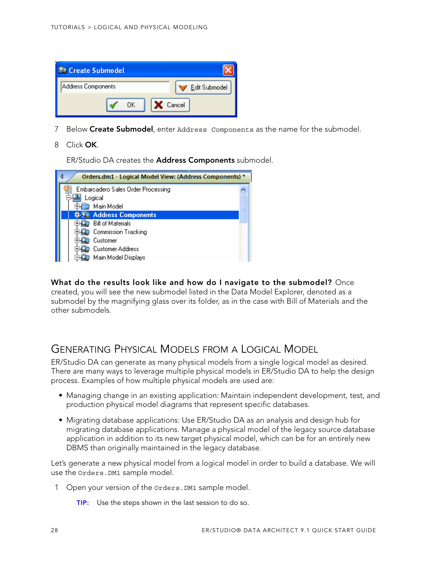

- 7 Below **Create Submodel**, enter Address Components as the name for the submodel.
- 8 Click **OK**.

ER/Studio DA creates the **Address Components** submodel.

| Orders.dm1 - Logical Model View: (Address Components) * |  |  |  |
|---------------------------------------------------------|--|--|--|
| Embarcadero Sales Order Processing                      |  |  |  |
| Logical                                                 |  |  |  |
| Main Model                                              |  |  |  |
| <b>Address Components</b>                               |  |  |  |
| <b>Bill of Materials</b>                                |  |  |  |
| <b>Commission Tracking</b>                              |  |  |  |
| Customer                                                |  |  |  |
| <b>Customer Address</b>                                 |  |  |  |
| Main Model Displays                                     |  |  |  |

**What do the results look like and how do I navigate to the submodel?** Once created, you will see the new submodel listed in the Data Model Explorer, denoted as a submodel by the magnifying glass over its folder, as in the case with Bill of Materials and the other submodels.

### <span id="page-27-0"></span>GENERATING PHYSICAL MODELS FROM A LOGICAL MODEL

ER/Studio DA can generate as many physical models from a single logical model as desired. There are many ways to leverage multiple physical models in ER/Studio DA to help the design process. Examples of how multiple physical models are used are:

- Managing change in an existing application: Maintain independent development, test, and production physical model diagrams that represent specific databases.
- Migrating database applications: Use ER/Studio DA as an analysis and design hub for migrating database applications. Manage a physical model of the legacy source database application in addition to its new target physical model, which can be for an entirely new DBMS than originally maintained in the legacy database.

Let's generate a new physical model from a logical model in order to build a database. We will use the Orders.DM1 sample model.

- 1 Open your version of the Orders.DM1 sample model.
	- **TIP:** Use the steps shown in the last session to do so.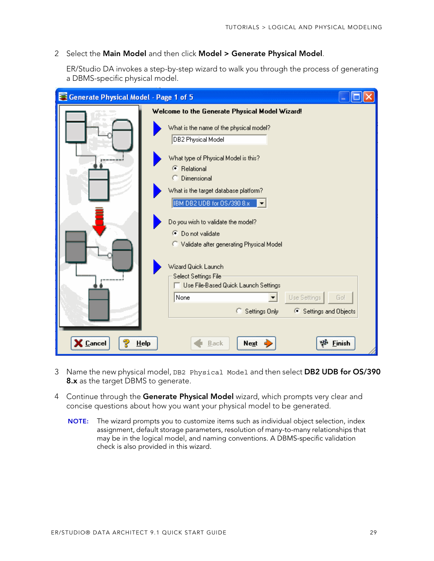#### 2 Select the **Main Model** and then click **Model > Generate Physical Model**.

ER/Studio DA invokes a step-by-step wizard to walk you through the process of generating a DBMS-specific physical model.

| Generate Physical Model - Page 1 of 5 |                                                                                             |
|---------------------------------------|---------------------------------------------------------------------------------------------|
|                                       | Welcome to the Generate Physical Model Wizard!                                              |
|                                       | What is the name of the physical model?<br><b>DB2 Physical Model</b>                        |
| ------                                | What type of Physical Model is this?<br><b>C</b> Relational                                 |
|                                       | C Dimensional<br>What is the target database platform?<br><b>IBM DB2 UDB for OS/390 8.x</b> |
|                                       | Do you wish to validate the model?<br>● Do not validate                                     |
|                                       | C Validate after generating Physical Model<br>Wizard Quick Launch                           |
|                                       | Select Settings File<br>Use File-Based Quick Launch Settings                                |
|                                       | None<br>Use Settings<br>Go!<br>▼<br>Settings Only<br>6 Settings and Objects<br>C.           |
| Cancel<br>HeIp                        | <b>Finish</b><br>Next<br>Back                                                               |

- 3 Name the new physical model, DB2 Physical Model and then select **DB2 UDB for OS/390 8.x** as the target DBMS to generate.
- 4 Continue through the **Generate Physical Model** wizard, which prompts very clear and concise questions about how you want your physical model to be generated.
	- **NOTE:** The wizard prompts you to customize items such as individual object selection, index assignment, default storage parameters, resolution of many-to-many relationships that may be in the logical model, and naming conventions. A DBMS-specific validation check is also provided in this wizard.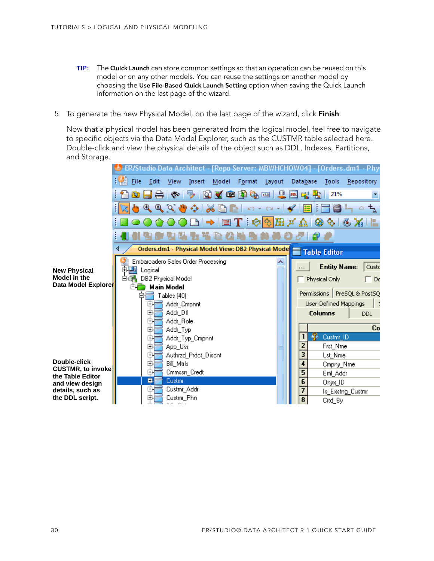- **TIP:** The **Quick Launch** can store common settings so that an operation can be reused on this model or on any other models. You can reuse the settings on another model by choosing the **Use File-Based Quick Launch Setting** option when saving the Quick Launch information on the last page of the wizard.
- 5 To generate the new Physical Model, on the last page of the wizard, click **Finish**.

Now that a physical model has been generated from the logical model, feel free to navigate to specific objects via the Data Model Explorer, such as the CUSTMR table selected here. Double-click and view the physical details of the object such as DDL, Indexes, Partitions, and Storage.

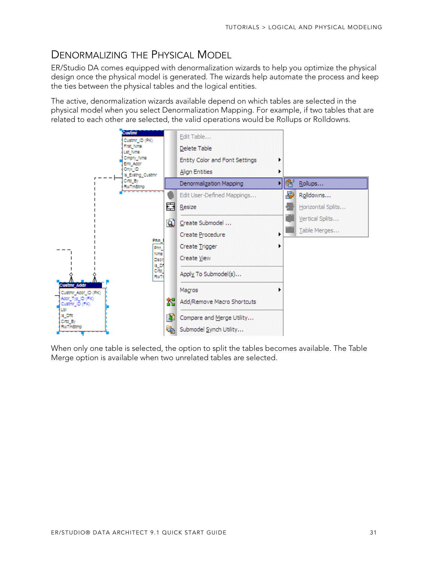## <span id="page-30-0"></span>DENORMALIZING THE PHYSICAL MODEL

ER/Studio DA comes equipped with denormalization wizards to help you optimize the physical design once the physical model is generated. The wizards help automate the process and keep the ties between the physical tables and the logical entities.

The active, denormalization wizards available depend on which tables are selected in the physical model when you select Denormalization Mapping. For example, if two tables that are related to each other are selected, the valid operations would be Rollups or Rolldowns.



When only one table is selected, the option to split the tables becomes available. The Table Merge option is available when two unrelated tables are selected.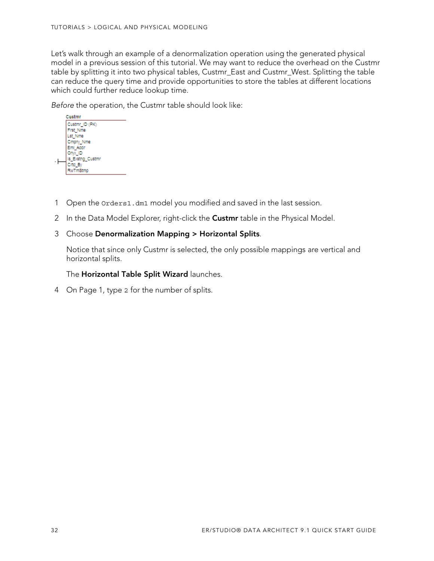Let's walk through an example of a denormalization operation using the generated physical model in a previous session of this tutorial. We may want to reduce the overhead on the Custmr table by splitting it into two physical tables, Custmr\_East and Custmr\_West. Splitting the table can reduce the query time and provide opportunities to store the tables at different locations which could further reduce lookup time.

Before the operation, the Custmr table should look like:



- 1 Open the Orders1.dm1 model you modified and saved in the last session.
- 2 In the Data Model Explorer, right-click the **Custmr** table in the Physical Model.

#### 3 Choose **Denormalization Mapping > Horizontal Splits**.

Notice that since only Custmr is selected, the only possible mappings are vertical and horizontal splits.

The **Horizontal Table Split Wizard** launches.

4 On Page 1, type 2 for the number of splits.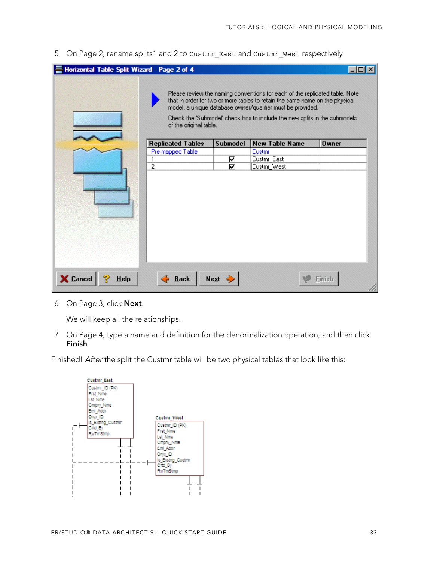5 On Page 2, rename splits1 and 2 to Custmr\_East and Custmr\_West respectively.

| Horizontal Table Split Wizard - Page 2 of 4 |                          |                 |                                                                                                                                                                                                                                                                                                        |          |
|---------------------------------------------|--------------------------|-----------------|--------------------------------------------------------------------------------------------------------------------------------------------------------------------------------------------------------------------------------------------------------------------------------------------------------|----------|
|                                             | of the original table.   |                 | Please review the naming conventions for each of the replicated table. Note<br>that in order for two or more tables to retain the same name on the physical<br>model, a unique database owner/qualifier must be provided.<br>Check the 'Submodel' check box to include the new splits in the submodels |          |
|                                             | <b>Replicated Tables</b> | <b>Submodel</b> | <b>New Table Name</b>                                                                                                                                                                                                                                                                                  | $0$ wner |
|                                             | Pre mapped Table         |                 | Custmr                                                                                                                                                                                                                                                                                                 |          |
|                                             |                          | ⊽               | Custmr_East                                                                                                                                                                                                                                                                                            |          |
|                                             | 2                        | ⊽               | Custmr_West                                                                                                                                                                                                                                                                                            |          |
|                                             |                          |                 |                                                                                                                                                                                                                                                                                                        |          |
| X Cancel<br><b>Help</b>                     | <b>Back</b>              | <b>Next</b>     |                                                                                                                                                                                                                                                                                                        | Finish   |

6 On Page 3, click **Next**.

We will keep all the relationships.

7 On Page 4, type a name and definition for the denormalization operation, and then click **Finish**.

Finished! After the split the Custmr table will be two physical tables that look like this:

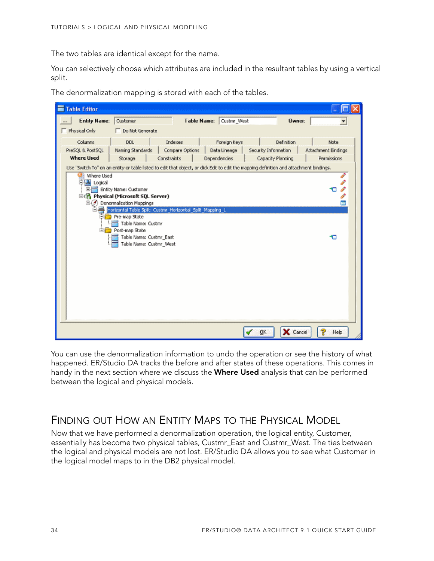The two tables are identical except for the name.

You can selectively choose which attributes are included in the resultant tables by using a vertical split.



The denormalization mapping is stored with each of the tables.

You can use the denormalization information to undo the operation or see the history of what happened. ER/Studio DA tracks the before and after states of these operations. This comes in handy in the next section where we discuss the **Where Used** analysis that can be performed between the logical and physical models.

### <span id="page-33-0"></span>FINDING OUT HOW AN ENTITY MAPS TO THE PHYSICAL MODEL

Now that we have performed a denormalization operation, the logical entity, Customer, essentially has become two physical tables, Custmr\_East and Custmr\_West. The ties between the logical and physical models are not lost. ER/Studio DA allows you to see what Customer in the logical model maps to in the DB2 physical model.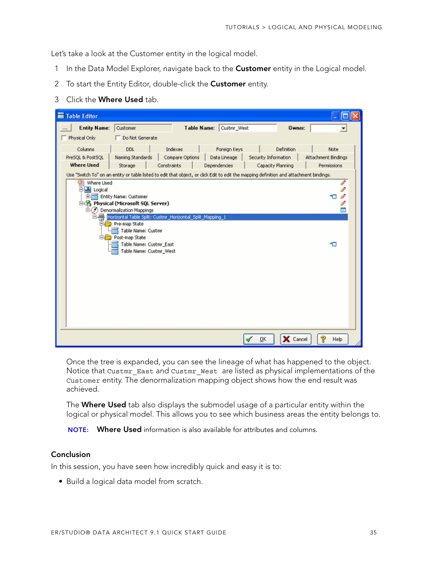Let's take a look at the Customer entity in the logical model.

- 1 In the Data Model Explorer, navigate back to the **Customer** entity in the Logical model.
- 2 To start the Entity Editor, double-click the **Customer** entity.
- 3 Click the **Where Used** tab.

| <b>Table Editor</b>                                                                                                                                                                                    |                     |
|--------------------------------------------------------------------------------------------------------------------------------------------------------------------------------------------------------|---------------------|
| <b>Entity Name:</b><br>Customer<br><b>Table Name:</b><br>Custmr_West<br><b>Owner:</b>                                                                                                                  | ۰                   |
| Physical Only<br>Do Not Generate                                                                                                                                                                       |                     |
| Columns<br>Indexes<br>Definition<br>DDL<br>Foreign Keys                                                                                                                                                | Note                |
| Compare Options<br>PreSOL & PostSOL<br>Naming Standards<br>Data Lineage<br>Security Information<br><b>Where Used</b>                                                                                   | Attachment Bindings |
| Constraints<br>Dependencies<br>Capacity Planning<br>Storage<br>Use "Switch To" on an entity or table listed to edit that object, or click Edit to edit the mapping definition and attachment bindings. | Permissions         |
| Where Used<br>胉<br>白書 Logical<br>Entity Name: Customer<br>m.<br>白色 Physical (Microsoft SQL Server)                                                                                                     | I<br>P<br>P<br>P    |
| ⊜⊖<br>Denormalization Mappings                                                                                                                                                                         | Ē                   |
| Horizontal Table Split: Custmr_Horizontal_Split_Mapping_1<br>Pre-map State<br>Table Name: Custmr                                                                                                       |                     |
| <b>Electron</b> Post-map State<br>Table Name: Custmr_East<br>Table Name: Custmr_West                                                                                                                   | ю                   |
| X Cancel<br>QK                                                                                                                                                                                         | ę<br>Help           |

Once the tree is expanded, you can see the lineage of what has happened to the object. Notice that Custmr\_East and Custmr\_West are listed as physical implementations of the Customer entity. The denormalization mapping object shows how the end result was achieved.

The **Where Used** tab also displays the submodel usage of a particular entity within the logical or physical model. This allows you to see which business areas the entity belongs to.

**NOTE: Where Used** information is also available for attributes and columns.

#### **Conclusion**

In this session, you have seen how incredibly quick and easy it is to:

• Build a logical data model from scratch.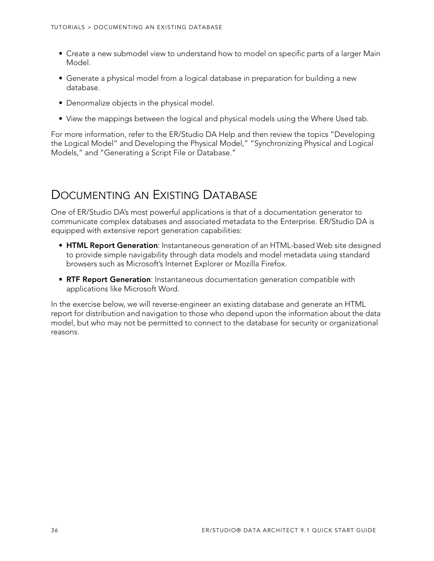- Create a new submodel view to understand how to model on specific parts of a larger Main Model.
- Generate a physical model from a logical database in preparation for building a new database.
- Denormalize objects in the physical model.
- View the mappings between the logical and physical models using the Where Used tab.

For more information, refer to the ER/Studio DA Help and then review the topics "Developing the Logical Model" and Developing the Physical Model," "Synchronizing Physical and Logical Models," and "Generating a Script File or Database."

# <span id="page-35-0"></span>DOCUMENTING AN EXISTING DATABASE

One of ER/Studio DA's most powerful applications is that of a documentation generator to communicate complex databases and associated metadata to the Enterprise. ER/Studio DA is equipped with extensive report generation capabilities:

- **HTML Report Generation**: Instantaneous generation of an HTML-based Web site designed to provide simple navigability through data models and model metadata using standard browsers such as Microsoft's Internet Explorer or Mozilla Firefox.
- **RTF Report Generation**: Instantaneous documentation generation compatible with applications like Microsoft Word.

In the exercise below, we will reverse-engineer an existing database and generate an HTML report for distribution and navigation to those who depend upon the information about the data model, but who may not be permitted to connect to the database for security or organizational reasons.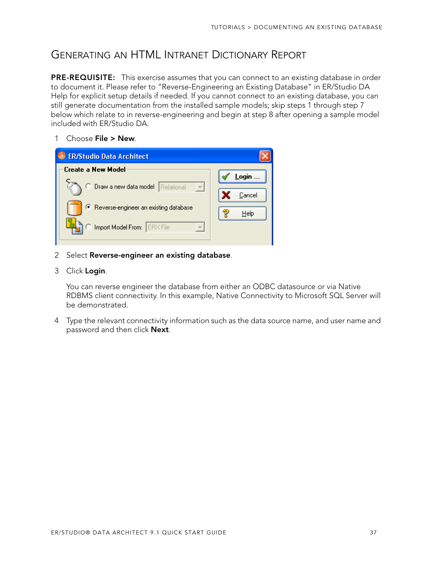### <span id="page-36-0"></span>GENERATING AN HTML INTRANET DICTIONARY REPORT

**PRE-REQUISITE:** This exercise assumes that you can connect to an existing database in order to document it. Please refer to "Reverse-Engineering an Existing Database" in ER/Studio DA Help for explicit setup details if needed. If you cannot connect to an existing database, you can still generate documentation from the installed sample models; skip steps 1 through step 7 below which relate to in reverse-engineering and begin at step 8 after opening a sample model included with ER/Studio DA.

1 Choose **File > New**.



- 2 Select **Reverse-engineer an existing database**.
- 3 Click **Login**.

You can reverse engineer the database from either an ODBC datasource or via Native RDBMS client connectivity. In this example, Native Connectivity to Microsoft SQL Server will be demonstrated.

4 Type the relevant connectivity information such as the data source name, and user name and password and then click **Next**.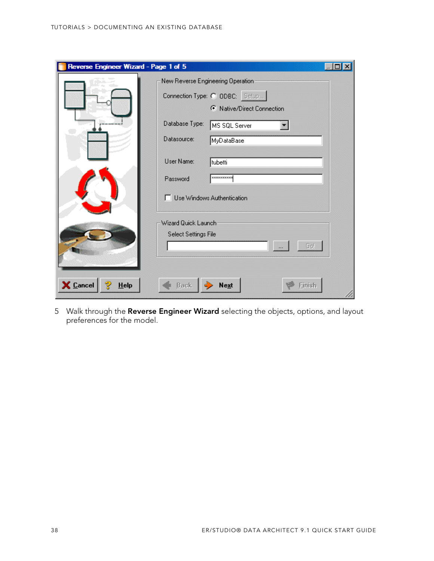| Reverse Engineer Wizard - Page 1 of 5 |                      |                                                              |  |
|---------------------------------------|----------------------|--------------------------------------------------------------|--|
|                                       |                      | New Reverse Engineering Operation:                           |  |
|                                       |                      | Connection Type: C ODBC: Setup<br>C Native/Direct Connection |  |
|                                       | Database Type:       | MS SQL Server                                                |  |
|                                       | Datasource:          | MyDataBase                                                   |  |
|                                       | User Name:           | tubetti                                                      |  |
|                                       | Password             | **********                                                   |  |
|                                       |                      | □ Use Windows Authentication                                 |  |
|                                       | Wizard Quick Launch  |                                                              |  |
|                                       | Select Settings File |                                                              |  |
|                                       |                      | Gol                                                          |  |
|                                       |                      |                                                              |  |
| X Cancel<br>$He$ lp                   | <b>Back</b>          | <b>Next</b>                                                  |  |

5 Walk through the **Reverse Engineer Wizard** selecting the objects, options, and layout preferences for the model.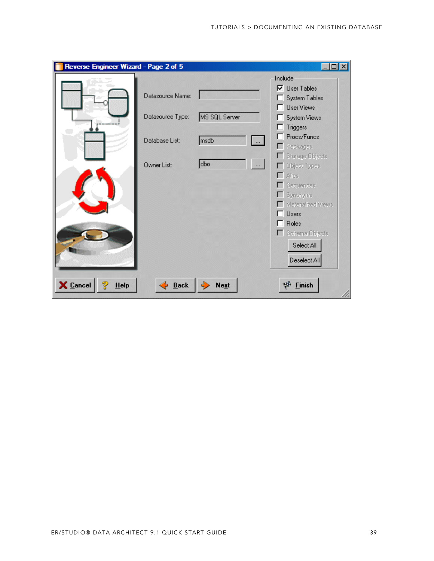| Reverse Engineer Wizard - Page 2 of 5<br>$ \Box$<br>$\mathbf{x}$ |                  |                             |                                            |
|------------------------------------------------------------------|------------------|-----------------------------|--------------------------------------------|
|                                                                  |                  |                             | Include                                    |
|                                                                  | Datasource Name: |                             | $\nabla$ User Tables<br>System Tables      |
|                                                                  |                  |                             | <b>User Views</b>                          |
|                                                                  | Datasource Type: | MS SQL Server               | System Views                               |
|                                                                  |                  |                             | Triggers                                   |
|                                                                  | Database List:   | msdb<br>$\vert \dots \vert$ | Procs/Funcs                                |
|                                                                  |                  |                             | Packages<br>Storage Objects                |
|                                                                  | Owner List:      | dbo<br>$\cdots$             | Object Types                               |
|                                                                  |                  |                             | Alias                                      |
|                                                                  |                  |                             | Sequences                                  |
|                                                                  |                  |                             | Synonyms                                   |
|                                                                  |                  |                             | Materialized Views<br><b>Users</b><br>- 11 |
|                                                                  |                  |                             | Roles<br>п                                 |
|                                                                  |                  |                             | Schema Objects                             |
|                                                                  |                  |                             | Select All                                 |
|                                                                  |                  |                             | Deselect All                               |
|                                                                  |                  |                             |                                            |
| X Cancel<br>$He$ lp                                              | Back             | <b>Next</b>                 | 梦 Einish                                   |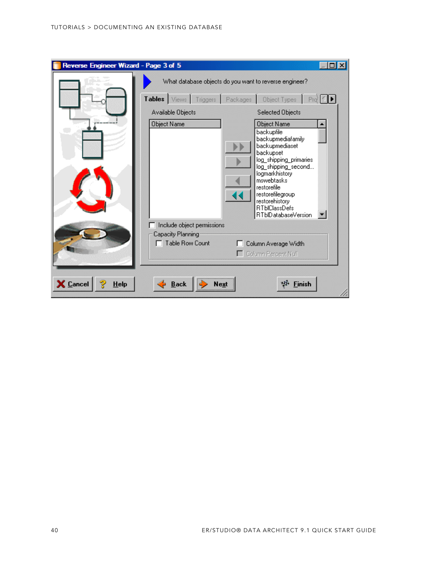| Reverse Engineer Wizard - Page 3 of 5 |                                      |                                                                                                                                                                                                                                                                    |  |
|---------------------------------------|--------------------------------------|--------------------------------------------------------------------------------------------------------------------------------------------------------------------------------------------------------------------------------------------------------------------|--|
|                                       |                                      | What database objects do you want to reverse engineer?                                                                                                                                                                                                             |  |
|                                       | Tables Views Triggers Packages       | <b>Object Types</b><br>Pro <sup>2</sup>                                                                                                                                                                                                                            |  |
|                                       | Available Objects                    | Selected Objects                                                                                                                                                                                                                                                   |  |
|                                       | Object Name                          | Object Name<br>backupfile<br>backupmediafamily<br>backupmediaset<br>backupset<br>log_shipping_primaries<br>log_shipping_second<br>logmarkhistory<br>mswebtasks<br>restorefile<br>restorefilegroup<br>restorehistory<br><b>RTblClassDefs</b><br>RTblDatabaseVersion |  |
|                                       | Include object permissions           |                                                                                                                                                                                                                                                                    |  |
|                                       | Capacity Planning<br>Table Row Count | Column Average Width<br>Column Percent Null                                                                                                                                                                                                                        |  |
| X Cancel<br><b>Help</b>               | <b>Back</b><br>Next                  | <b>Einish</b><br>чH.                                                                                                                                                                                                                                               |  |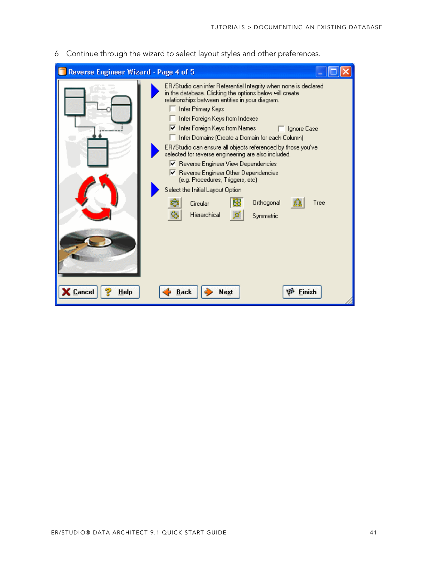6 Continue through the wizard to select layout styles and other preferences.

| Reverse Engineer Wizard - Page 4 of 5 |                                                                                                                                                                                                                                                                                                                                                                                                                                                                                                                                                                                                                                                                                                   |  |
|---------------------------------------|---------------------------------------------------------------------------------------------------------------------------------------------------------------------------------------------------------------------------------------------------------------------------------------------------------------------------------------------------------------------------------------------------------------------------------------------------------------------------------------------------------------------------------------------------------------------------------------------------------------------------------------------------------------------------------------------------|--|
|                                       | ER/Studio can infer Referential Integrity when none is declared<br>in the database. Clicking the options below will create.<br>relationships between entities in your diagram.<br>Infer Primary Keys<br>Infer Foreign Keys from Indexes<br>$\nabla$ Infer Foreign Keys from Names<br>□ Ignore Case<br>Infer Domains (Create a Domain for each Column)<br>ER/Studio can ensure all objects referenced by those you've<br>selected for reverse engineering are also included.<br>Ⅳ Reverse Engineer View Dependencies<br>Reverse Engineer Other Dependencies<br>(e.g. Procedures, Triggers, etc)<br>Select the Initial Layout Option<br>Orthogonal<br>Tree<br>Circular<br>Hierarchical<br>Symmetric |  |
| $\epsilon$ Cancel<br>Help             | <b>Back</b><br>Finish<br>Next                                                                                                                                                                                                                                                                                                                                                                                                                                                                                                                                                                                                                                                                     |  |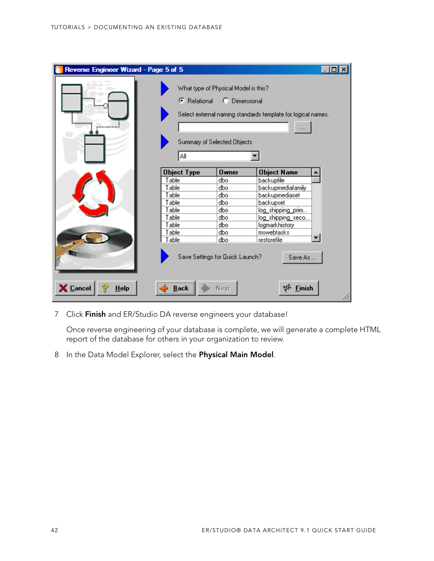| Reverse Engineer Wizard - Page 5 of 5 |                            |                                                                                      |                                                              |
|---------------------------------------|----------------------------|--------------------------------------------------------------------------------------|--------------------------------------------------------------|
|                                       | <b>C</b> Relational<br>Αll | What type of Physical Model is this?<br>C Dimensional<br>Summary of Selected Objects | Select external naming standards template for logical names. |
|                                       | <b>Object Type</b>         | $0$ wner                                                                             | <b>Object Name</b>                                           |
|                                       | Table                      | dbo                                                                                  | backupfile                                                   |
|                                       | Table                      | dbo                                                                                  | backupmediafamily                                            |
|                                       | Table                      | dbo                                                                                  | backupmediaset                                               |
|                                       | Table                      | dbo                                                                                  | backupset                                                    |
|                                       | Table                      | dbo                                                                                  | log_shipping_prim                                            |
|                                       | Table                      | dbo                                                                                  | log_shipping_seco                                            |
|                                       | Table                      | dbo                                                                                  | logmarkhistory                                               |
|                                       | Table                      | dbo                                                                                  | mswebtasks                                                   |
|                                       | Table                      | dbo                                                                                  | restorefile                                                  |
| <b>X</b> Cancel<br>$He$ lp            | <b>Back</b>                | Save Settings for Quick Launch?<br>Next                                              | Save As<br><b>Finish</b>                                     |

7 Click **Finish** and ER/Studio DA reverse engineers your database!

Once reverse engineering of your database is complete, we will generate a complete HTML report of the database for others in your organization to review.

8 In the Data Model Explorer, select the **Physical Main Model**.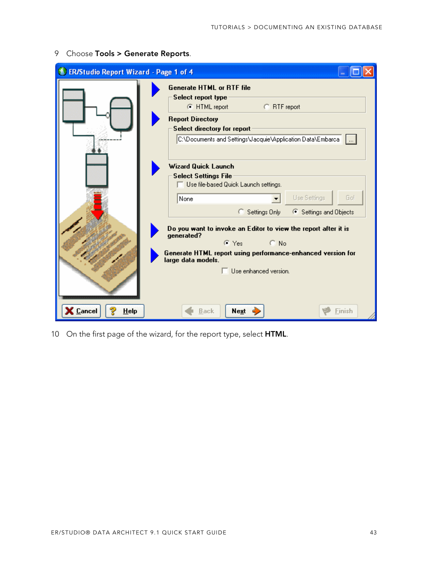| <b>ER/Studio Report Wizard - Page 1 of 4</b> |                                                                                                                                                                                                                              |
|----------------------------------------------|------------------------------------------------------------------------------------------------------------------------------------------------------------------------------------------------------------------------------|
|                                              | <b>Generate HTML or RTF file</b><br>Select report type<br>C RTF report<br>C HTML report<br><b>Report Directory</b><br>Select directory for report<br>C:\Documents and Settings\Jacquie\Application Data\Embarca              |
|                                              | <b>Wizard Quick Launch</b><br><b>Select Settings File</b><br>$\Box$ Use file-based Quick Launch settings.<br>Use Settings<br>Go!<br>None<br>Settings Only<br>└ Settings and Objects<br>О.                                    |
|                                              | Do you want to invoke an Editor to view the report after it is<br>generated?<br>$\subset$ No<br>ে Yes ।<br>Generate HTML report using performance-enhanced version for<br>large data models.<br>$\Box$ Use enhanced version. |
| $\epsilon$ Cancel<br>HeIp                    | Next<br><b>Back</b><br>Finish                                                                                                                                                                                                |

9 Choose **Tools > Generate Reports**.

10 On the first page of the wizard, for the report type, select **HTML**.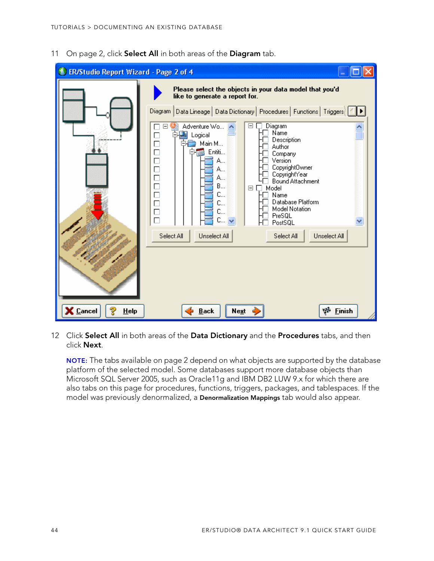11 On page 2, click **Select All** in both areas of the **Diagram** tab.



12 Click **Select All** in both areas of the **Data Dictionary** and the **Procedures** tabs, and then click **Next**.

**NOTE:** The tabs available on page 2 depend on what objects are supported by the database platform of the selected model. Some databases support more database objects than Microsoft SQL Server 2005, such as Oracle11g and IBM DB2 LUW 9.x for which there are also tabs on this page for procedures, functions, triggers, packages, and tablespaces. If the model was previously denormalized, a **Denormalization Mappings** tab would also appear.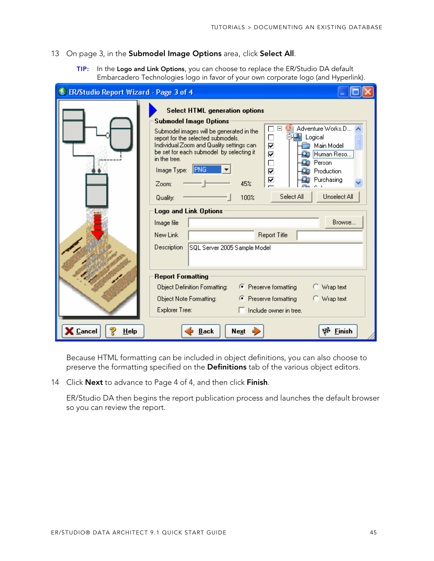#### 13 On page 3, in the **Submodel Image Options** area, click **Select All**.

**TIP:** In the **Logo and Link Options**, you can choose to replace the ER/Studio DA default Embarcadero Technologies logo in favor of your own corporate logo (and Hyperlink).

| ER/Studio Report Wizard - Page 3 of 4 |                                                                                                                                                                                                                                                                                                                                                                                                                                                                                                                                                                                                                                                                            |
|---------------------------------------|----------------------------------------------------------------------------------------------------------------------------------------------------------------------------------------------------------------------------------------------------------------------------------------------------------------------------------------------------------------------------------------------------------------------------------------------------------------------------------------------------------------------------------------------------------------------------------------------------------------------------------------------------------------------------|
|                                       | <b>Select HTML generation options</b><br><b>Submodel Image Options</b><br>Adventure Works.D<br>Ξ<br>Submodel images will be generated in the<br>$\frac{\Box}{\Box}$<br>国 Logical<br>report for the selected submodels.<br>Individual Zoom and Quality settings can<br>Main Model<br>be set for each submodel by selecting it<br>⊽<br>Human Reso<br>in the tree.<br>$\Box$<br>Person<br><b>IPNG</b><br>Image Type:<br>☑<br>Production<br>⊽<br>Purchasing<br>45%<br>Zoom:<br>Unselect All<br>Select All<br>100%<br>Quality:<br><b>Logo and Link Options</b><br>Browse<br>Image file<br><b>Report Title</b><br>New Link<br><b>Description</b><br>SQL Server 2005 Sample Model |
| <b>Cancel</b><br>HeIp                 | <b>Report Formatting</b><br>← Preserve formatting<br>Object Definition Formatting:<br>○ Wrap text<br>← Preserve formatting<br>C Wrap text<br>Object Note Formatting:<br>Explorer Tree:<br>Include owner in tree.<br>ΨĐ<br><b>Finish</b><br><b>Back</b><br>Next                                                                                                                                                                                                                                                                                                                                                                                                             |

Because HTML formatting can be included in object definitions, you can also choose to preserve the formatting specified on the **Definitions** tab of the various object editors.

14 Click **Next** to advance to Page 4 of 4, and then click **Finish**.

ER/Studio DA then begins the report publication process and launches the default browser so you can review the report.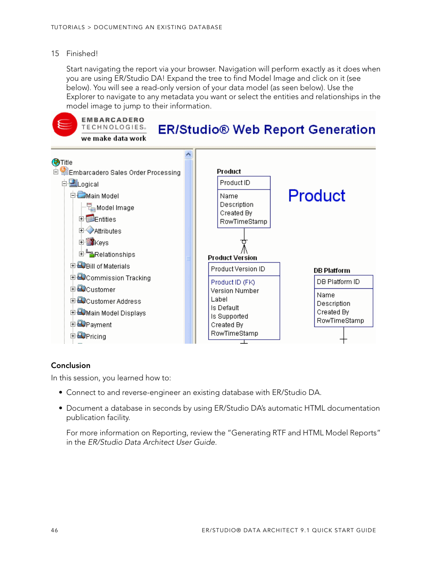#### 15 Finished!

Start navigating the report via your browser. Navigation will perform exactly as it does when you are using ER/Studio DA! Expand the tree to find Model Image and click on it (see below). You will see a read-only version of your data model (as seen below). Use the Explorer to navigate to any metadata you want or select the entities and relationships in the model image to jump to their information.



#### **Conclusion**

In this session, you learned how to:

- Connect to and reverse-engineer an existing database with ER/Studio DA.
- Document a database in seconds by using ER/Studio DA's automatic HTML documentation publication facility.

For more information on Reporting, review the "Generating RTF and HTML Model Reports" in the ER/Studio Data Architect User Guide.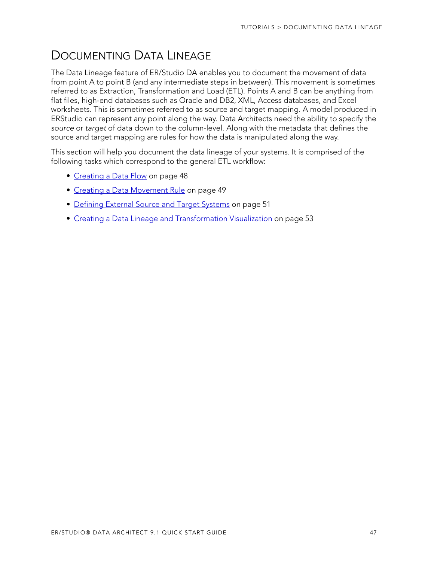# <span id="page-46-0"></span>DOCUMENTING DATA LINEAGE

The Data Lineage feature of ER/Studio DA enables you to document the movement of data from point A to point B (and any intermediate steps in between). This movement is sometimes referred to as Extraction, Transformation and Load (ETL). Points A and B can be anything from flat files, high-end databases such as Oracle and DB2, XML, Access databases, and Excel worksheets. This is sometimes referred to as source and target mapping. A model produced in ERStudio can represent any point along the way. Data Architects need the ability to specify the source or target of data down to the column-level. Along with the metadata that defines the source and target mapping are rules for how the data is manipulated along the way.

This section will help you document the data lineage of your systems. It is comprised of the following tasks which correspond to the general ETL workflow:

- [Creating a Data Flow on page 48](#page-47-0)
- [Creating a Data Movement Rule on page 49](#page-48-0)
- [Defining External Source and Target Systems on page 51](#page-50-0)
- [Creating a Data Lineage and Transformation Visualization on page 53](#page-52-0)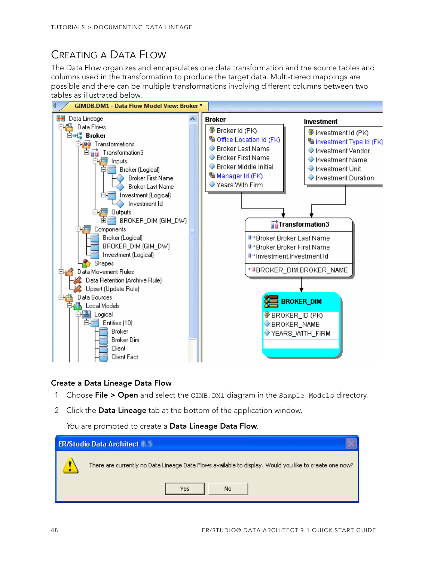# <span id="page-47-0"></span>CREATING A DATA FLOW

The Data Flow organizes and encapsulates one data transformation and the source tables and columns used in the transformation to produce the target data. Multi-tiered mappings are possible and there can be multiple transformations involving different columns between two tables as illustrated below.



#### **Create a Data Lineage Data Flow**

- 1 Choose **File > Open** and select the GIMB.DM1 diagram in the Sample Models directory.
- 2 Click the **Data Lineage** tab at the bottom of the application window.

You are prompted to create a **Data Lineage Data Flow**.

| <b>ER/Studio Data Architect</b>                                                                        |
|--------------------------------------------------------------------------------------------------------|
| There are currently no Data Lineage Data Flows available to display. Would you like to create one now? |
| No<br>Yes                                                                                              |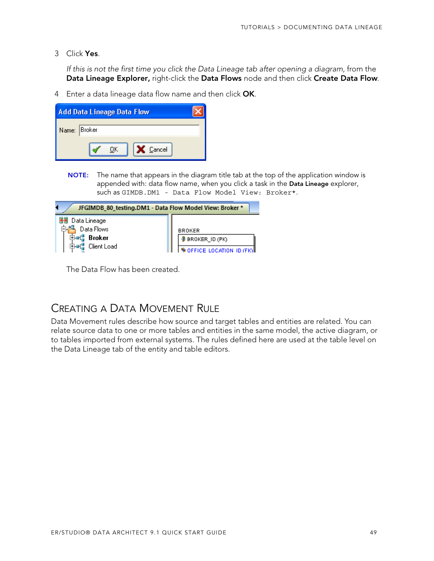3 Click **Yes**.

If this is not the first time you click the Data Lineage tab after opening a diagram, from the **Data Lineage Explorer,** right-click the **Data Flows** node and then click **Create Data Flow**.

4 Enter a data lineage data flow name and then click **OK**.

| <b>Add Data Lineage Data Flow</b> |  |
|-----------------------------------|--|
| Name: Broker                      |  |
| X Cancel<br>ПK                    |  |

**NOTE:** The name that appears in the diagram title tab at the top of the application window is appended with: data flow name, when you click a task in the **Data Lineage** explorer, such as GIMDB.DM1 - Data Flow Model View: Broker\*.

| JFGIMDB_80_testing.DM1 - Data Flow Model View: Broker *    |                                                                   |  |
|------------------------------------------------------------|-------------------------------------------------------------------|--|
| Data Lineage<br>Data Flows<br><b>Broker</b><br>Client Load | <b>BROKER</b><br><b>BROKER_ID (PK)</b><br>OFFICE LOCATION ID (FK) |  |

The Data Flow has been created.

## <span id="page-48-0"></span>CREATING A DATA MOVEMENT RULE

Data Movement rules describe how source and target tables and entities are related. You can relate source data to one or more tables and entities in the same model, the active diagram, or to tables imported from external systems. The rules defined here are used at the table level on the Data Lineage tab of the entity and table editors.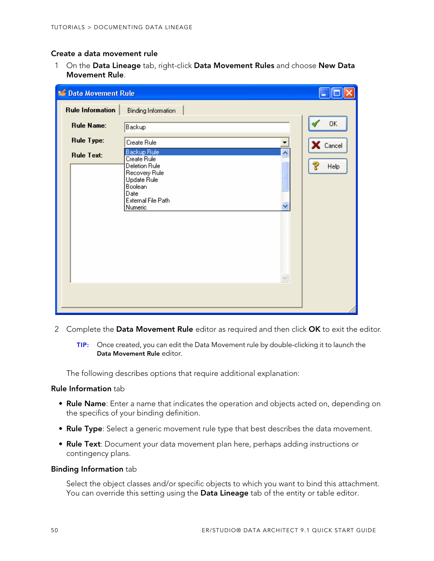#### **Create a data movement rule**

1 On the **Data Lineage** tab, right-click **Data Movement Rules** and choose **New Data Movement Rule**.

| <b>C</b> Data Movement Rule |                                                                                                                                      |           |
|-----------------------------|--------------------------------------------------------------------------------------------------------------------------------------|-----------|
| <b>Rule Information</b>     | <b>Binding Information</b>                                                                                                           |           |
| <b>Rule Name:</b>           | Backup                                                                                                                               | OK        |
| <b>Rule Type:</b>           | Create Rule                                                                                                                          | X Cancel  |
| <b>Rule Text:</b>           | Backup Rule<br>Ä<br>Create Rule<br>Deletion Rule<br>Recovery Rule<br>Update Rule<br>Boolean<br>Date<br>External File Path<br>Numeric | ೪<br>Help |

- 2 Complete the **Data Movement Rule** editor as required and then click **OK** to exit the editor.
	- **TIP:** Once created, you can edit the Data Movement rule by double-clicking it to launch the **Data Movement Rule** editor.

The following describes options that require additional explanation:

#### **Rule Information** tab

- **Rule Name**: Enter a name that indicates the operation and objects acted on, depending on the specifics of your binding definition.
- **Rule Type**: Select a generic movement rule type that best describes the data movement.
- **Rule Text**: Document your data movement plan here, perhaps adding instructions or contingency plans.

#### **Binding Information** tab

Select the object classes and/or specific objects to which you want to bind this attachment. You can override this setting using the **Data Lineage** tab of the entity or table editor.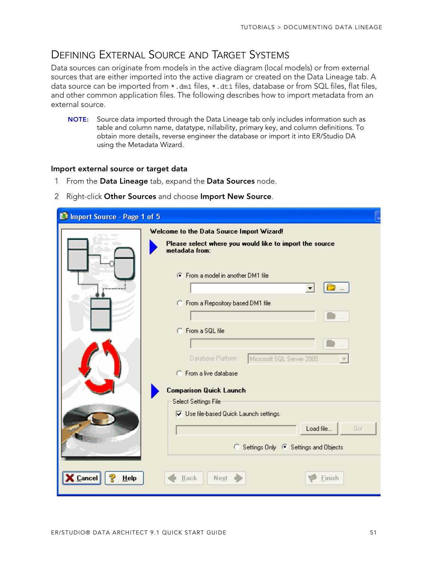### <span id="page-50-0"></span>DEFINING EXTERNAL SOURCE AND TARGET SYSTEMS

Data sources can originate from models in the active diagram (local models) or from external sources that are either imported into the active diagram or created on the Data Lineage tab. A data source can be imported from  $*$ . dm1 files,  $*$ . dt1 files, database or from SQL files, flat files, and other common application files. The following describes how to import metadata from an external source.

**NOTE:** Source data imported through the Data Lineage tab only includes information such as table and column name, datatype, nillability, primary key, and column definitions. To obtain more details, reverse engineer the database or import it into ER/Studio DA using the Metadata Wizard.

#### **Import external source or target data**

- 1 From the **Data Lineage** tab, expand the **Data Sources** node.
- 2 Right-click **Other Sources** and choose **Import New Source**.

| <b>Manufacture Course - Page 1 of 5</b> |                                                                           |
|-----------------------------------------|---------------------------------------------------------------------------|
|                                         | Welcome to the Data Source Import Wizard!                                 |
|                                         | Please select where you would like to import the source<br>metadata from: |
|                                         | C From a model in another DM1 file                                        |
|                                         | C From a Repository based DM1 file                                        |
|                                         | C From a SQL file                                                         |
|                                         | Database Platform:<br>Microsoft SQL Server 2005                           |
|                                         | C From a live database<br><b>Comparison Quick Launch</b>                  |
|                                         | Select Settings File                                                      |
|                                         | $\nabla$ Use file-based Quick Launch settings.                            |
|                                         | Go!<br>Load file                                                          |
|                                         | $\circ$<br>Settings Only <sup>6</sup> Settings and Objects                |
| ್ಗೌ<br>Cancel<br>HeIp                   | Next<br>Back<br>Finish                                                    |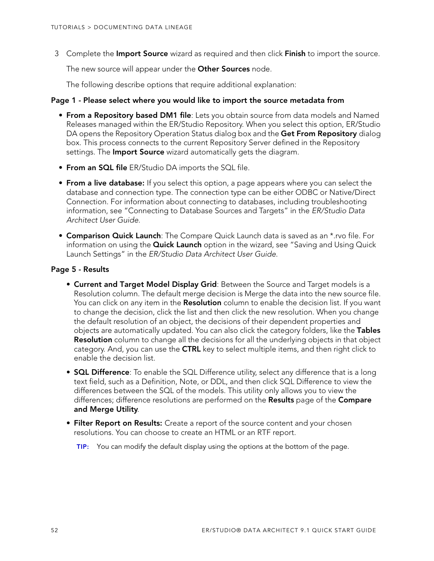3 Complete the **Import Source** wizard as required and then click **Finish** to import the source.

The new source will appear under the **Other Sources** node.

The following describe options that require additional explanation:

#### **Page 1 - Please select where you would like to import the source metadata from**

- **From a Repository based DM1 file**: Lets you obtain source from data models and Named Releases managed within the ER/Studio Repository. When you select this option, ER/Studio DA opens the Repository Operation Status dialog box and the **Get From Repository** dialog box. This process connects to the current Repository Server defined in the Repository settings. The **Import Source** wizard automatically gets the diagram.
- **From an SQL file** ER/Studio DA imports the SQL file.
- **From a live database:** If you select this option, a page appears where you can select the database and connection type. The connection type can be either ODBC or Native/Direct Connection. For information about connecting to databases, including troubleshooting information, see "Connecting to Database Sources and Targets" in the ER/Studio Data Architect User Guide.
- **Comparison Quick Launch**: The Compare Quick Launch data is saved as an \*.rvo file. For information on using the **Quick Launch** option in the wizard, see "Saving and Using Quick Launch Settings" in the ER/Studio Data Architect User Guide.

#### **Page 5 - Results**

- **Current and Target Model Display Grid**: Between the Source and Target models is a Resolution column. The default merge decision is Merge the data into the new source file. You can click on any item in the **Resolution** column to enable the decision list. If you want to change the decision, click the list and then click the new resolution. When you change the default resolution of an object, the decisions of their dependent properties and objects are automatically updated. You can also click the category folders, like the **Tables Resolution** column to change all the decisions for all the underlying objects in that object category. And, you can use the **CTRL** key to select multiple items, and then right click to enable the decision list.
- **SQL Difference**: To enable the SQL Difference utility, select any difference that is a long text field, such as a Definition, Note, or DDL, and then click SQL Difference to view the differences between the SQL of the models. This utility only allows you to view the differences; difference resolutions are performed on the **Results** page of the **Compare and Merge Utility**.
- **Filter Report on Results:** Create a report of the source content and your chosen resolutions. You can choose to create an HTML or an RTF report.
	- **TIP:** You can modify the default display using the options at the bottom of the page.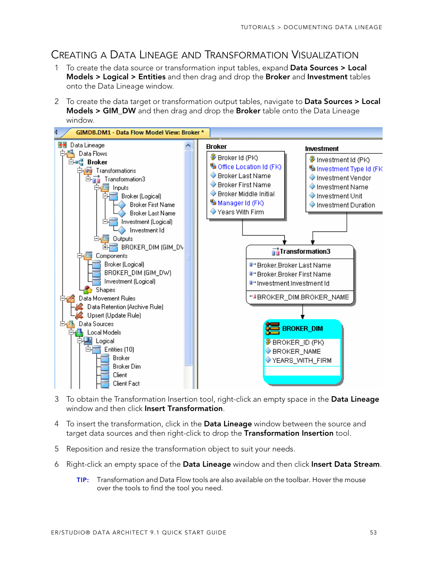## <span id="page-52-0"></span>CREATING A DATA LINEAGE AND TRANSFORMATION VISUALIZATION

- 1 To create the data source or transformation input tables, expand **Data Sources > Local Models > Logical > Entities** and then drag and drop the **Broker** and **Investment** tables onto the Data Lineage window.
- 2 To create the data target or transformation output tables, navigate to **Data Sources > Local Models > GIM\_DW** and then drag and drop the **Broker** table onto the Data Lineage window.



- 3 To obtain the Transformation Insertion tool, right-click an empty space in the **Data Lineage** window and then click **Insert Transformation**.
- 4 To insert the transformation, click in the **Data Lineage** window between the source and target data sources and then right-click to drop the **Transformation Insertion** tool.
- 5 Reposition and resize the transformation object to suit your needs.
- 6 Right-click an empty space of the **Data Lineage** window and then click **Insert Data Stream**.
	- **TIP:** Transformation and Data Flow tools are also available on the toolbar. Hover the mouse over the tools to find the tool you need.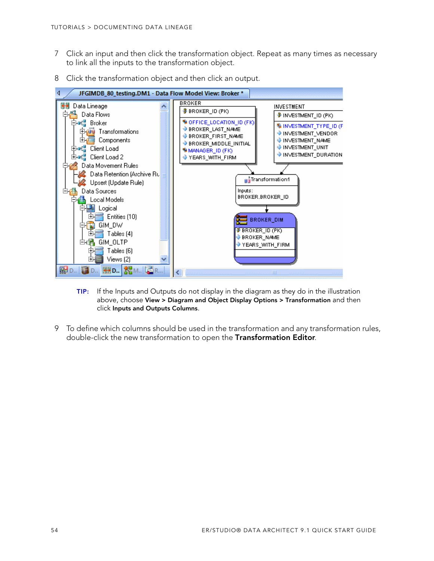- 7 Click an input and then click the transformation object. Repeat as many times as necessary to link all the inputs to the transformation object.
- 8 Click the transformation object and then click an output.



- **TIP:** If the Inputs and Outputs do not display in the diagram as they do in the illustration above, choose **View > Diagram and Object Display Options > Transformation** and then click **Inputs and Outputs Columns**.
- 9 To define which columns should be used in the transformation and any transformation rules, double-click the new transformation to open the **Transformation Editor**.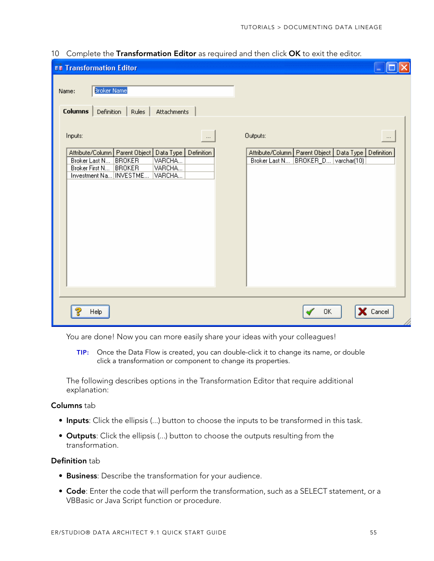| <b>TR</b> Transformation Editor                                                                                                                                                                                    |                                                                                                                               |
|--------------------------------------------------------------------------------------------------------------------------------------------------------------------------------------------------------------------|-------------------------------------------------------------------------------------------------------------------------------|
| Broker Name<br>Name:<br><b>Columns</b><br>Rules<br>Attachments<br>Definition                                                                                                                                       |                                                                                                                               |
| Inputs:<br>$\cdots$<br>Attribute/Column   Parent Object   Data Type  <br>Definition<br>VARCHA<br>Broker Last N<br><b>BROKER</b><br>VARCHA<br>Broker First N<br><b>BROKER</b><br>Investment Na   INVESTME<br>VARCHA | Outputs:<br>$\cdots$<br>Definition<br>Attribute/Column   Parent Object   Data Type  <br>BROKER_D varchar(10)<br>Broker Last N |
| Help                                                                                                                                                                                                               | X Cancel<br>0K                                                                                                                |

#### 10 Complete the **Transformation Editor** as required and then click **OK** to exit the editor.

You are done! Now you can more easily share your ideas with your colleagues!

**TIP:** Once the Data Flow is created, you can double-click it to change its name, or double click a transformation or component to change its properties.

The following describes options in the Transformation Editor that require additional explanation:

#### **Columns** tab

- **Inputs**: Click the ellipsis (...) button to choose the inputs to be transformed in this task.
- **Outputs**: Click the ellipsis (...) button to choose the outputs resulting from the transformation.

#### **Definition** tab

- **Business**: Describe the transformation for your audience.
- **Code**: Enter the code that will perform the transformation, such as a SELECT statement, or a VBBasic or Java Script function or procedure.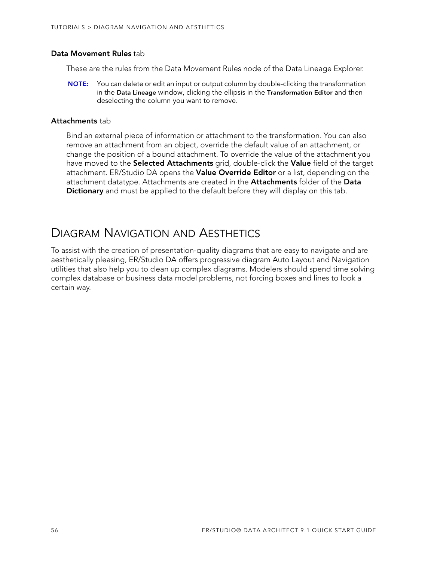#### **Data Movement Rules** tab

These are the rules from the Data Movement Rules node of the Data Lineage Explorer.

**NOTE:** You can delete or edit an input or output column by double-clicking the transformation in the **Data Lineage** window, clicking the ellipsis in the **Transformation Editor** and then deselecting the column you want to remove.

#### **Attachments** tab

Bind an external piece of information or attachment to the transformation. You can also remove an attachment from an object, override the default value of an attachment, or change the position of a bound attachment. To override the value of the attachment you have moved to the **Selected Attachments** grid, double-click the **Value** field of the target attachment. ER/Studio DA opens the **Value Override Editor** or a list, depending on the attachment datatype. Attachments are created in the **Attachments** folder of the **Data Dictionary** and must be applied to the default before they will display on this tab.

## <span id="page-55-0"></span>DIAGRAM NAVIGATION AND AESTHETICS

To assist with the creation of presentation-quality diagrams that are easy to navigate and are aesthetically pleasing, ER/Studio DA offers progressive diagram Auto Layout and Navigation utilities that also help you to clean up complex diagrams. Modelers should spend time solving complex database or business data model problems, not forcing boxes and lines to look a certain way.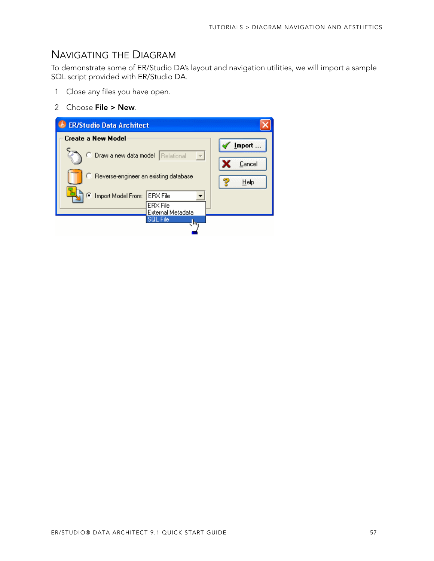### <span id="page-56-0"></span>NAVIGATING THE DIAGRAM

To demonstrate some of ER/Studio DA's layout and navigation utilities, we will import a sample SQL script provided with ER/Studio DA.

- 1 Close any files you have open.
- 2 Choose **File > New**.

| <b>ER/Studio Data Architect</b>                    |                                        |        |
|----------------------------------------------------|----------------------------------------|--------|
| Create a New Model                                 |                                        | Import |
| Draw a new data model                              | Relational<br>$\overline{\phantom{a}}$ | Cancel |
| <sup>C</sup> Reverse-engineer an existing database |                                        | Help   |
| Import Model From:                                 | <b>ERX</b> File                        |        |
|                                                    | <b>ERX</b> File<br>External Metadata   |        |
|                                                    | <b>SOL File</b><br>ाम                  |        |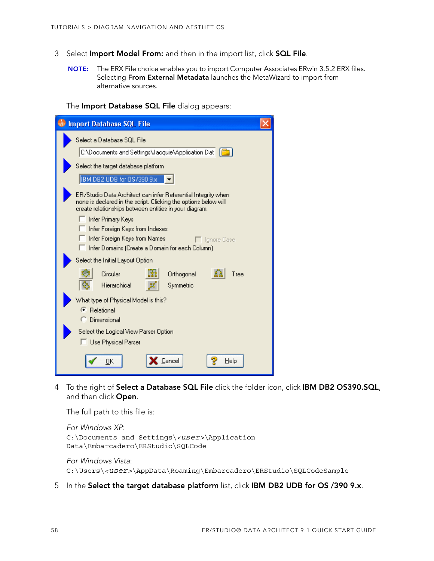- 3 Select **Import Model From:** and then in the import list, click **SQL File**.
	- **NOTE:** The ERX File choice enables you to import Computer Associates ERwin 3.5.2 ERX files. Selecting **From External Metadata** launches the MetaWizard to import from alternative sources.

The **Import Database SQL File** dialog appears:

| <b>Import Database SQL File</b>                                                                                                                                                            |  |
|--------------------------------------------------------------------------------------------------------------------------------------------------------------------------------------------|--|
| Select a Database SQL File                                                                                                                                                                 |  |
| C:\Documents and Settings\Jacquie\Application Dat                                                                                                                                          |  |
| Select the target database platform                                                                                                                                                        |  |
| IBM DB2 UDB for OS/390 9.x                                                                                                                                                                 |  |
| ER/Studio Data Architect can infer Referential Integrity when<br>none is declared in the script. Clicking the options below will<br>create relationships between entities in your diagram. |  |
| Infer Primary Keys                                                                                                                                                                         |  |
| Infer Foreign Keys from Indexes<br>Infer Foreign Keys from Names<br>□ Ignore Case                                                                                                          |  |
| Infer Domains (Create a Domain for each Column)                                                                                                                                            |  |
| Select the Initial Layout Option                                                                                                                                                           |  |
| Circular<br>Orthogonal<br>Tree                                                                                                                                                             |  |
| Hierarchical<br>Symmetric                                                                                                                                                                  |  |
| What type of Physical Model is this?                                                                                                                                                       |  |
| ← Relational<br>C Dimensional                                                                                                                                                              |  |
| Select the Logical View Parser Option                                                                                                                                                      |  |
| Use Physical Parser                                                                                                                                                                        |  |
|                                                                                                                                                                                            |  |
| Cancel<br>Help<br>OΚ                                                                                                                                                                       |  |

4 To the right of **Select a Database SQL File** click the folder icon, click **IBM DB2 OS390.SQL**, and then click **Open**.

The full path to this file is:

```
For Windows XP:
C:\Documents and Settings\<user>\Application 
Data\Embarcadero\ERStudio\SQLCode
```
For Windows Vista: C:\Users\*<user>*\AppData\Roaming\Embarcadero\ERStudio\SQLCodeSample

5 In the **Select the target database platform** list, click **IBM DB2 UDB for OS /390 9.x**.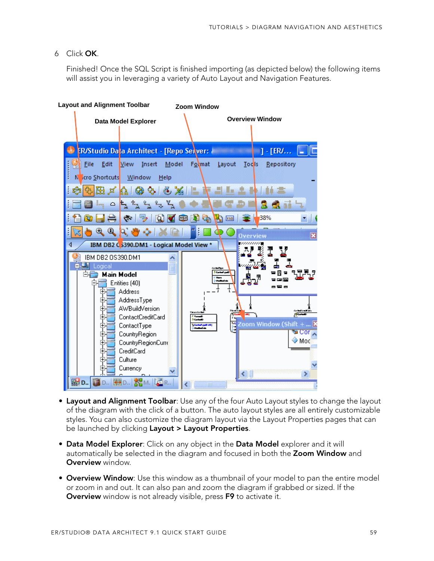#### 6 Click **OK**.

Finished! Once the SQL Script is finished importing (as depicted below) the following items will assist you in leveraging a variety of Auto Layout and Navigation Features.



- **Layout and Alignment Toolbar**: Use any of the four Auto Layout styles to change the layout of the diagram with the click of a button. The auto layout styles are all entirely customizable styles. You can also customize the diagram layout via the Layout Properties pages that can be launched by clicking **Layout > Layout Properties**.
- **Data Model Explorer**: Click on any object in the **Data Model** explorer and it will automatically be selected in the diagram and focused in both the **Zoom Window** and **Overview** window.
- **Overview Window**: Use this window as a thumbnail of your model to pan the entire model or zoom in and out. It can also pan and zoom the diagram if grabbed or sized. If the **Overview** window is not already visible, press **F9** to activate it.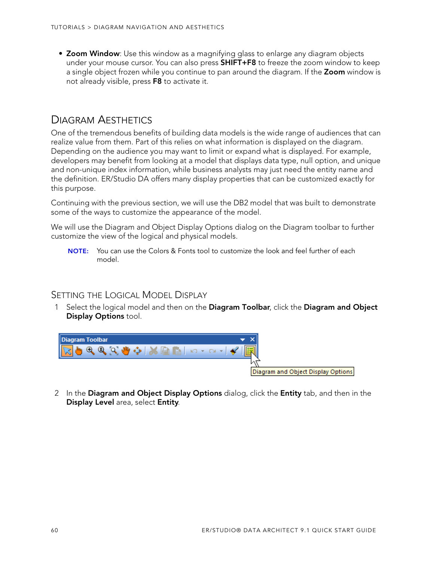• **Zoom Window**: Use this window as a magnifying glass to enlarge any diagram objects under your mouse cursor. You can also press **SHIFT+F8** to freeze the zoom window to keep a single object frozen while you continue to pan around the diagram. If the **Zoom** window is not already visible, press **F8** to activate it.

### <span id="page-59-0"></span>DIAGRAM AESTHETICS

One of the tremendous benefits of building data models is the wide range of audiences that can realize value from them. Part of this relies on what information is displayed on the diagram. Depending on the audience you may want to limit or expand what is displayed. For example, developers may benefit from looking at a model that displays data type, null option, and unique and non-unique index information, while business analysts may just need the entity name and the definition. ER/Studio DA offers many display properties that can be customized exactly for this purpose.

Continuing with the previous section, we will use the DB2 model that was built to demonstrate some of the ways to customize the appearance of the model.

We will use the Diagram and Object Display Options dialog on the Diagram toolbar to further customize the view of the logical and physical models.

**NOTE:** You can use the Colors & Fonts tool to customize the look and feel further of each model.

### SETTING THE LOGICAL MODEL DISPLAY

1 Select the logical model and then on the **Diagram Toolbar**, click the **Diagram and Object Display Options** tool.



2 In the **Diagram and Object Display Options** dialog, click the **Entity** tab, and then in the **Display Level** area, select **Entity**.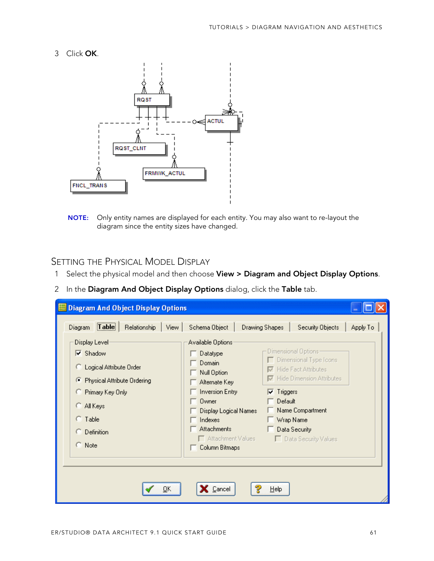3 Click **OK**.



**NOTE:** Only entity names are displayed for each entity. You may also want to re-layout the diagram since the entity sizes have changed.

#### SETTING THE PHYSICAL MODEL DISPLAY

- 1 Select the physical model and then choose **View > Diagram and Object Display Options**.
- 2 In the **Diagram And Object Display Options** dialog, click the **Table** tab.

| <b>Diagram And Object Display Options</b><br>$T$ able<br>Relationship<br>View.                                                                                                                                               | Schema Object                                                                                                                                                                                                | <b>Drawing Shapes</b>        | Security Objects                                                                                                                                                                                | Apply To |
|------------------------------------------------------------------------------------------------------------------------------------------------------------------------------------------------------------------------------|--------------------------------------------------------------------------------------------------------------------------------------------------------------------------------------------------------------|------------------------------|-------------------------------------------------------------------------------------------------------------------------------------------------------------------------------------------------|----------|
| Diagram<br>Display Level<br>$\overline{\triangledown}$ Shadow<br>C Logical Attribute Order<br>Physical Attribute Ordering<br>Œ.<br>C Primary Key Only<br>C All Keys<br>$C$ Table<br>$\subseteq$ Definition<br>$\subset$ Note | Available Options<br>Datatype<br>Domain<br>Null Option<br>Alternate Keyl<br><b>Inversion Entry</b><br>Owner<br>Display Logical Names<br>Indexes<br><b>Attachments</b><br>Attachment Values<br>Column Bitmaps | $\nabla$ Triggers<br>Default | Dimensional Options-<br>Dimensional Type Icons<br><b>▽</b> Hide Fact Attributes<br><b>▽</b> Hide Dimension Attributes<br>Name Compartment<br>Wrap Name<br>Data Security<br>Data Security Values |          |
| QK                                                                                                                                                                                                                           | Cancel                                                                                                                                                                                                       | He                           |                                                                                                                                                                                                 |          |